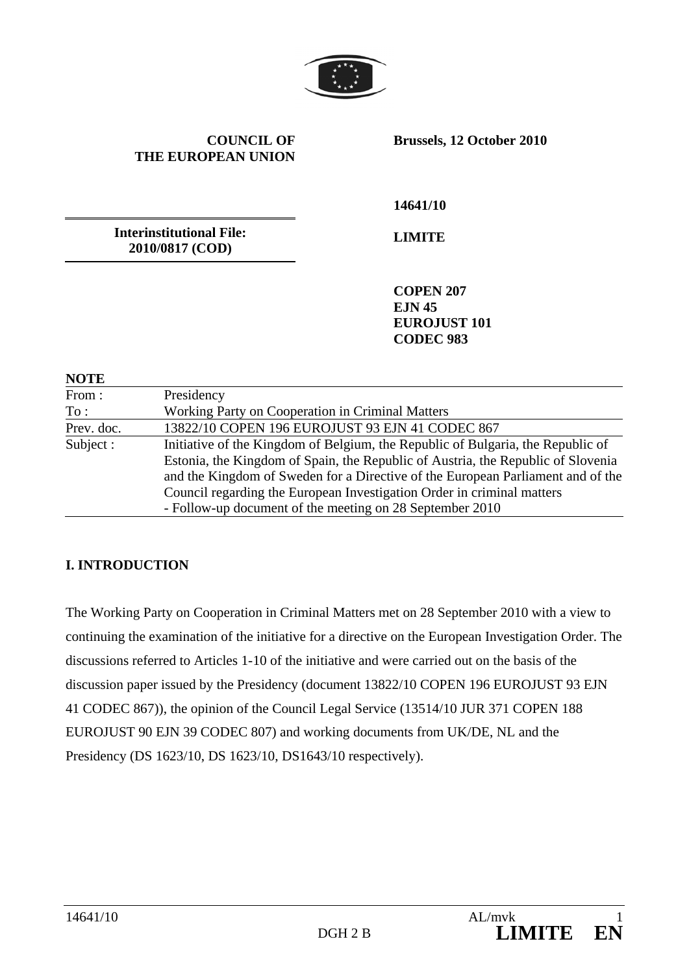

#### **COUNCIL OF THE EUROPEAN UNION**

**Brussels, 12 October 2010** 

**Interinstitutional File: 2010/0817 (COD)** 

**14641/10** 

**LIMITE** 

**COPEN 207 EJN 45 EUROJUST 101 CODEC 983** 

#### **NOTE**

| From:      | Presidency                                                                       |
|------------|----------------------------------------------------------------------------------|
| To:        | Working Party on Cooperation in Criminal Matters                                 |
| Prev. doc. | 13822/10 COPEN 196 EUROJUST 93 EJN 41 CODEC 867                                  |
| Subject :  | Initiative of the Kingdom of Belgium, the Republic of Bulgaria, the Republic of  |
|            | Estonia, the Kingdom of Spain, the Republic of Austria, the Republic of Slovenia |
|            | and the Kingdom of Sweden for a Directive of the European Parliament and of the  |
|            | Council regarding the European Investigation Order in criminal matters           |
|            | - Follow-up document of the meeting on 28 September 2010                         |

### **I. INTRODUCTION**

The Working Party on Cooperation in Criminal Matters met on 28 September 2010 with a view to continuing the examination of the initiative for a directive on the European Investigation Order. The discussions referred to Articles 1-10 of the initiative and were carried out on the basis of the discussion paper issued by the Presidency (document 13822/10 COPEN 196 EUROJUST 93 EJN 41 CODEC 867)), the opinion of the Council Legal Service (13514/10 JUR 371 COPEN 188 EUROJUST 90 EJN 39 CODEC 807) and working documents from UK/DE, NL and the Presidency (DS 1623/10, DS 1623/10, DS1643/10 respectively).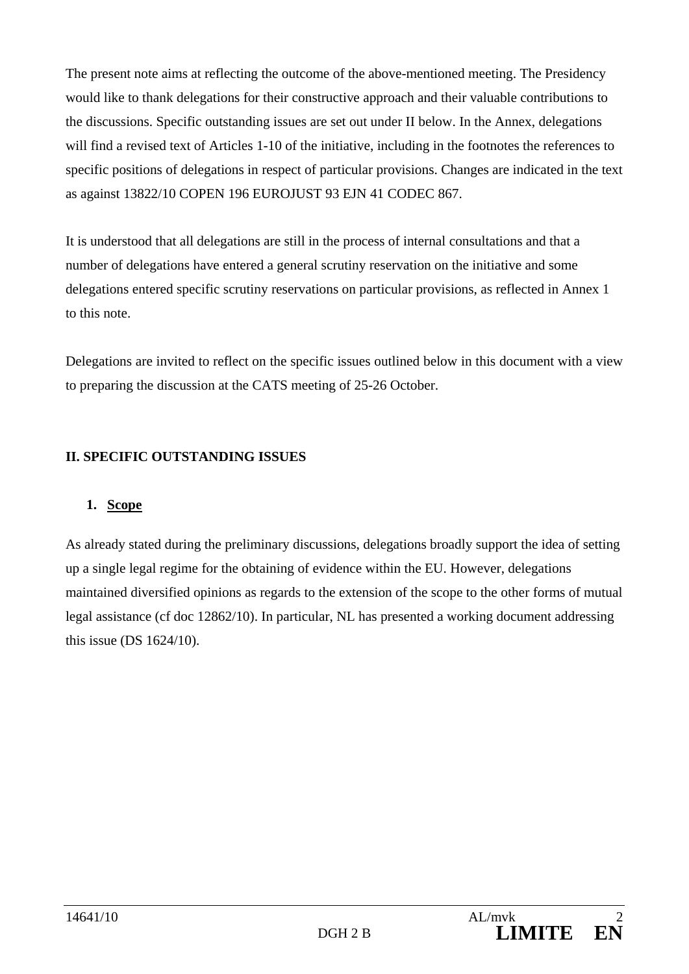The present note aims at reflecting the outcome of the above-mentioned meeting. The Presidency would like to thank delegations for their constructive approach and their valuable contributions to the discussions. Specific outstanding issues are set out under II below. In the Annex, delegations will find a revised text of Articles 1-10 of the initiative, including in the footnotes the references to specific positions of delegations in respect of particular provisions. Changes are indicated in the text as against 13822/10 COPEN 196 EUROJUST 93 EJN 41 CODEC 867.

It is understood that all delegations are still in the process of internal consultations and that a number of delegations have entered a general scrutiny reservation on the initiative and some delegations entered specific scrutiny reservations on particular provisions, as reflected in Annex 1 to this note.

Delegations are invited to reflect on the specific issues outlined below in this document with a view to preparing the discussion at the CATS meeting of 25-26 October.

### **II. SPECIFIC OUTSTANDING ISSUES**

### **1. Scope**

As already stated during the preliminary discussions, delegations broadly support the idea of setting up a single legal regime for the obtaining of evidence within the EU. However, delegations maintained diversified opinions as regards to the extension of the scope to the other forms of mutual legal assistance (cf doc 12862/10). In particular, NL has presented a working document addressing this issue (DS 1624/10).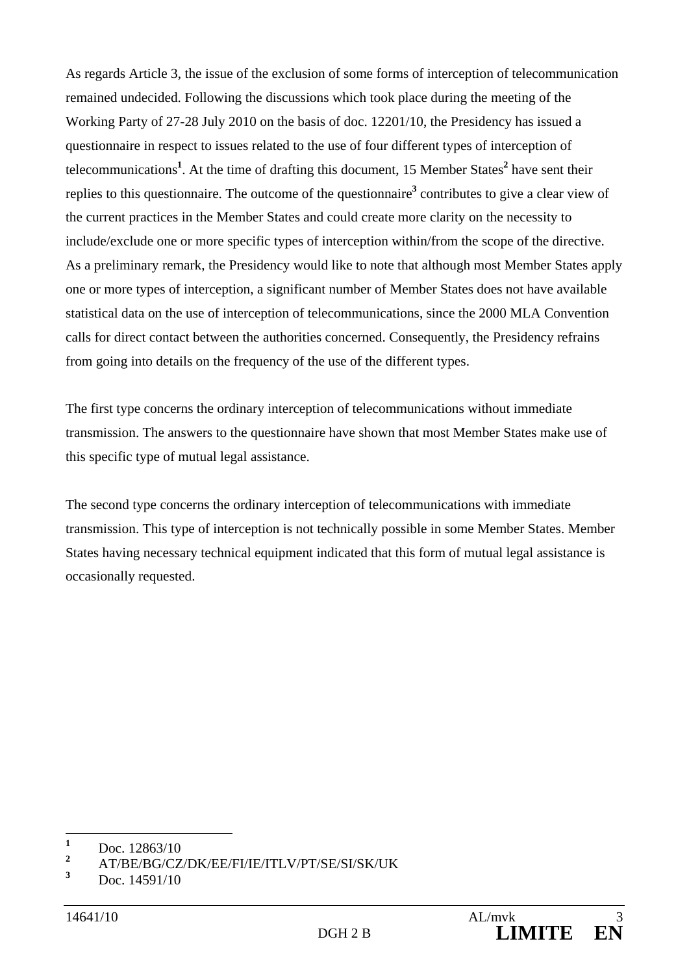As regards Article 3, the issue of the exclusion of some forms of interception of telecommunication remained undecided. Following the discussions which took place during the meeting of the Working Party of 27-28 July 2010 on the basis of doc. 12201/10, the Presidency has issued a questionnaire in respect to issues related to the use of four different types of interception of telecommunications<sup>1</sup>. At the time of drafting this document, 15 Member States<sup>2</sup> have sent their replies to this questionnaire. The outcome of the questionnaire<sup>3</sup> contributes to give a clear view of the current practices in the Member States and could create more clarity on the necessity to include/exclude one or more specific types of interception within/from the scope of the directive. As a preliminary remark, the Presidency would like to note that although most Member States apply one or more types of interception, a significant number of Member States does not have available statistical data on the use of interception of telecommunications, since the 2000 MLA Convention calls for direct contact between the authorities concerned. Consequently, the Presidency refrains from going into details on the frequency of the use of the different types.

The first type concerns the ordinary interception of telecommunications without immediate transmission. The answers to the questionnaire have shown that most Member States make use of this specific type of mutual legal assistance.

The second type concerns the ordinary interception of telecommunications with immediate transmission. This type of interception is not technically possible in some Member States. Member States having necessary technical equipment indicated that this form of mutual legal assistance is occasionally requested.

 **1** Doc. 12863/10

**<sup>2</sup>** AT/BE/BG/CZ/DK/EE/FI/IE/ITLV/PT/SE/SI/SK/UK

**<sup>3</sup>** Doc. 14591/10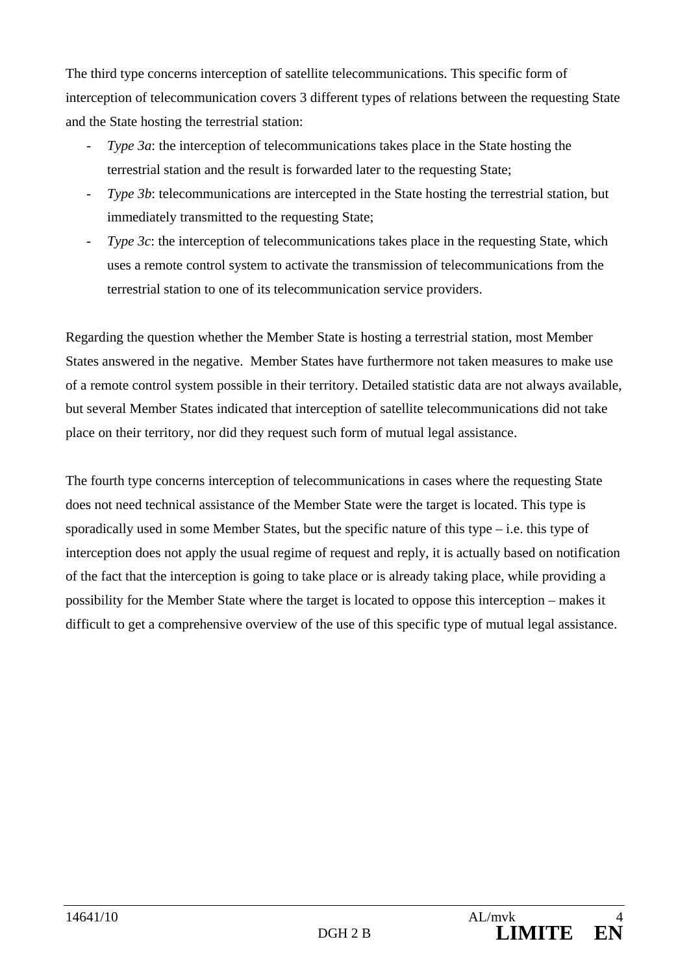The third type concerns interception of satellite telecommunications. This specific form of interception of telecommunication covers 3 different types of relations between the requesting State and the State hosting the terrestrial station:

- *Type 3a*: the interception of telecommunications takes place in the State hosting the terrestrial station and the result is forwarded later to the requesting State;
- *Type 3b*: telecommunications are intercepted in the State hosting the terrestrial station, but immediately transmitted to the requesting State;
- *Type 3c*: the interception of telecommunications takes place in the requesting State, which uses a remote control system to activate the transmission of telecommunications from the terrestrial station to one of its telecommunication service providers.

Regarding the question whether the Member State is hosting a terrestrial station, most Member States answered in the negative. Member States have furthermore not taken measures to make use of a remote control system possible in their territory. Detailed statistic data are not always available, but several Member States indicated that interception of satellite telecommunications did not take place on their territory, nor did they request such form of mutual legal assistance.

The fourth type concerns interception of telecommunications in cases where the requesting State does not need technical assistance of the Member State were the target is located. This type is sporadically used in some Member States, but the specific nature of this type – i.e. this type of interception does not apply the usual regime of request and reply, it is actually based on notification of the fact that the interception is going to take place or is already taking place, while providing a possibility for the Member State where the target is located to oppose this interception – makes it difficult to get a comprehensive overview of the use of this specific type of mutual legal assistance.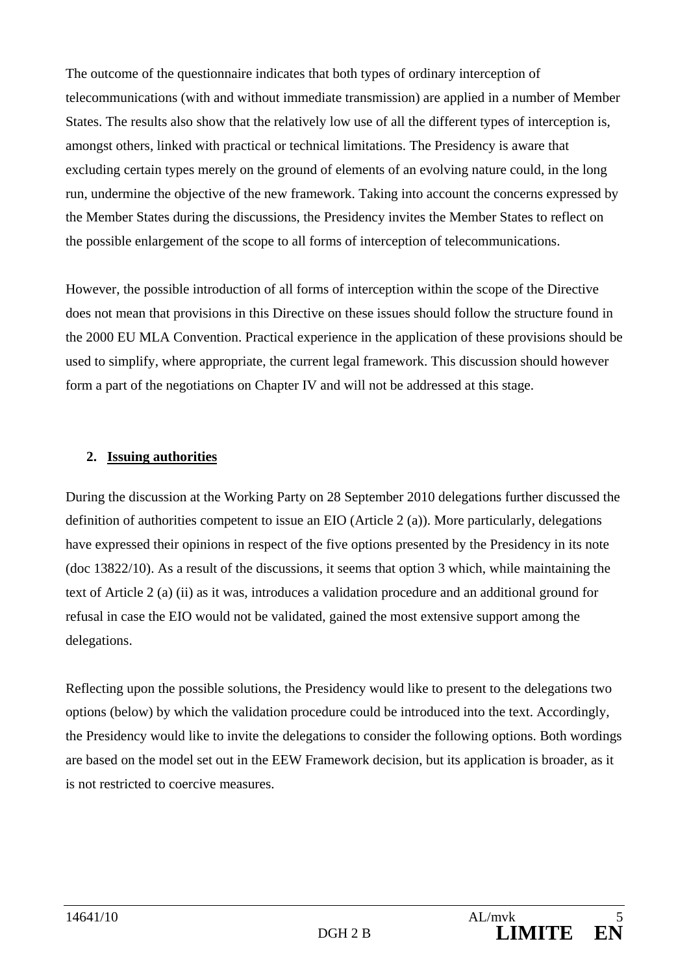The outcome of the questionnaire indicates that both types of ordinary interception of telecommunications (with and without immediate transmission) are applied in a number of Member States. The results also show that the relatively low use of all the different types of interception is, amongst others, linked with practical or technical limitations. The Presidency is aware that excluding certain types merely on the ground of elements of an evolving nature could, in the long run, undermine the objective of the new framework. Taking into account the concerns expressed by the Member States during the discussions, the Presidency invites the Member States to reflect on the possible enlargement of the scope to all forms of interception of telecommunications.

However, the possible introduction of all forms of interception within the scope of the Directive does not mean that provisions in this Directive on these issues should follow the structure found in the 2000 EU MLA Convention. Practical experience in the application of these provisions should be used to simplify, where appropriate, the current legal framework. This discussion should however form a part of the negotiations on Chapter IV and will not be addressed at this stage.

### **2. Issuing authorities**

During the discussion at the Working Party on 28 September 2010 delegations further discussed the definition of authorities competent to issue an EIO (Article 2 (a)). More particularly, delegations have expressed their opinions in respect of the five options presented by the Presidency in its note (doc 13822/10). As a result of the discussions, it seems that option 3 which, while maintaining the text of Article 2 (a) (ii) as it was, introduces a validation procedure and an additional ground for refusal in case the EIO would not be validated, gained the most extensive support among the delegations.

Reflecting upon the possible solutions, the Presidency would like to present to the delegations two options (below) by which the validation procedure could be introduced into the text. Accordingly, the Presidency would like to invite the delegations to consider the following options. Both wordings are based on the model set out in the EEW Framework decision, but its application is broader, as it is not restricted to coercive measures.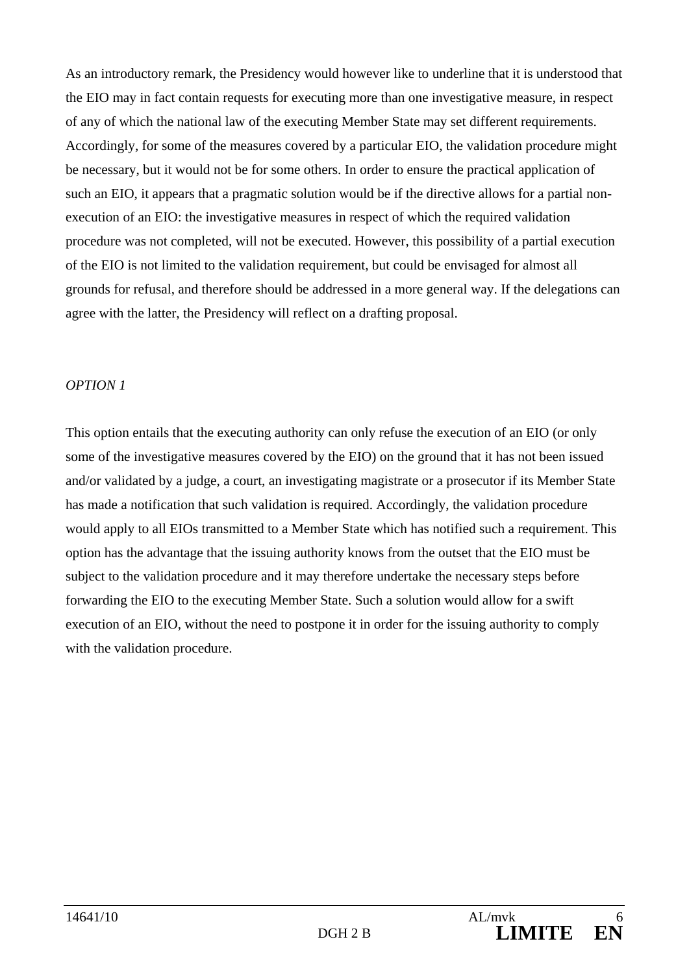As an introductory remark, the Presidency would however like to underline that it is understood that the EIO may in fact contain requests for executing more than one investigative measure, in respect of any of which the national law of the executing Member State may set different requirements. Accordingly, for some of the measures covered by a particular EIO, the validation procedure might be necessary, but it would not be for some others. In order to ensure the practical application of such an EIO, it appears that a pragmatic solution would be if the directive allows for a partial nonexecution of an EIO: the investigative measures in respect of which the required validation procedure was not completed, will not be executed. However, this possibility of a partial execution of the EIO is not limited to the validation requirement, but could be envisaged for almost all grounds for refusal, and therefore should be addressed in a more general way. If the delegations can agree with the latter, the Presidency will reflect on a drafting proposal.

#### *OPTION 1*

This option entails that the executing authority can only refuse the execution of an EIO (or only some of the investigative measures covered by the EIO) on the ground that it has not been issued and/or validated by a judge, a court, an investigating magistrate or a prosecutor if its Member State has made a notification that such validation is required. Accordingly, the validation procedure would apply to all EIOs transmitted to a Member State which has notified such a requirement. This option has the advantage that the issuing authority knows from the outset that the EIO must be subject to the validation procedure and it may therefore undertake the necessary steps before forwarding the EIO to the executing Member State. Such a solution would allow for a swift execution of an EIO, without the need to postpone it in order for the issuing authority to comply with the validation procedure.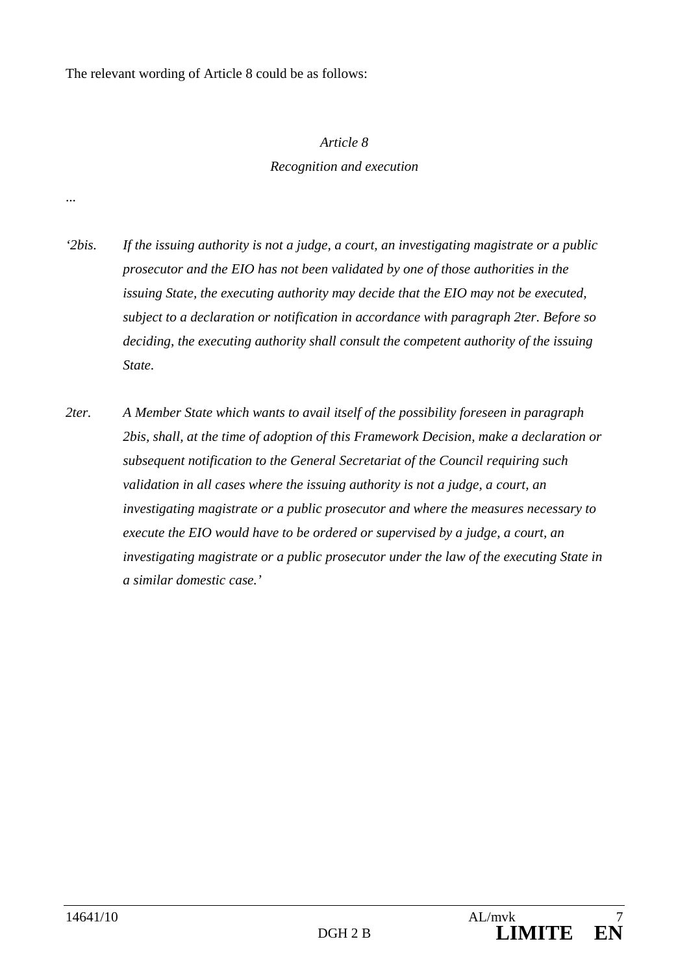The relevant wording of Article 8 could be as follows:

#### *Article 8*

#### *Recognition and execution*

*'2bis. If the issuing authority is not a judge, a court, an investigating magistrate or a public prosecutor and the EIO has not been validated by one of those authorities in the issuing State, the executing authority may decide that the EIO may not be executed, subject to a declaration or notification in accordance with paragraph 2ter. Before so deciding, the executing authority shall consult the competent authority of the issuing State.* 

*2ter. A Member State which wants to avail itself of the possibility foreseen in paragraph 2bis, shall, at the time of adoption of this Framework Decision, make a declaration or subsequent notification to the General Secretariat of the Council requiring such validation in all cases where the issuing authority is not a judge, a court, an investigating magistrate or a public prosecutor and where the measures necessary to execute the EIO would have to be ordered or supervised by a judge, a court, an investigating magistrate or a public prosecutor under the law of the executing State in a similar domestic case.'* 

...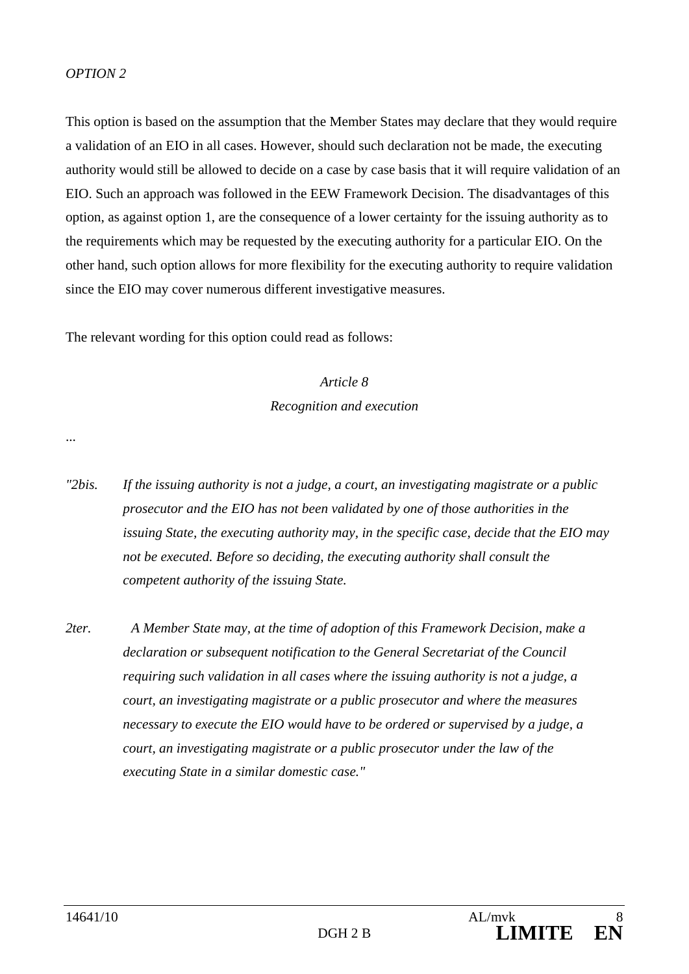#### *OPTION 2*

This option is based on the assumption that the Member States may declare that they would require a validation of an EIO in all cases. However, should such declaration not be made, the executing authority would still be allowed to decide on a case by case basis that it will require validation of an EIO. Such an approach was followed in the EEW Framework Decision. The disadvantages of this option, as against option 1, are the consequence of a lower certainty for the issuing authority as to the requirements which may be requested by the executing authority for a particular EIO. On the other hand, such option allows for more flexibility for the executing authority to require validation since the EIO may cover numerous different investigative measures.

The relevant wording for this option could read as follows:

# *Article 8 Recognition and execution*

...

- *"2bis. If the issuing authority is not a judge, a court, an investigating magistrate or a public prosecutor and the EIO has not been validated by one of those authorities in the issuing State, the executing authority may, in the specific case, decide that the EIO may not be executed. Before so deciding, the executing authority shall consult the competent authority of the issuing State.*
- *2ter. A Member State may, at the time of adoption of this Framework Decision, make a declaration or subsequent notification to the General Secretariat of the Council requiring such validation in all cases where the issuing authority is not a judge, a court, an investigating magistrate or a public prosecutor and where the measures necessary to execute the EIO would have to be ordered or supervised by a judge, a court, an investigating magistrate or a public prosecutor under the law of the executing State in a similar domestic case."*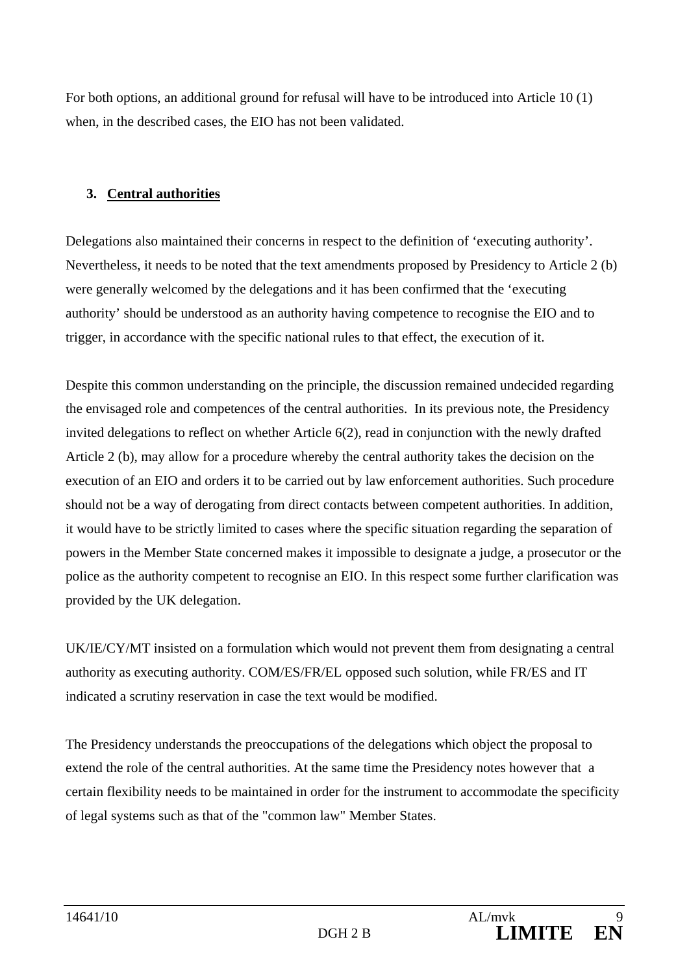For both options, an additional ground for refusal will have to be introduced into Article 10 (1) when, in the described cases, the EIO has not been validated.

### **3. Central authorities**

Delegations also maintained their concerns in respect to the definition of 'executing authority'. Nevertheless, it needs to be noted that the text amendments proposed by Presidency to Article 2 (b) were generally welcomed by the delegations and it has been confirmed that the 'executing authority' should be understood as an authority having competence to recognise the EIO and to trigger, in accordance with the specific national rules to that effect, the execution of it.

Despite this common understanding on the principle, the discussion remained undecided regarding the envisaged role and competences of the central authorities. In its previous note, the Presidency invited delegations to reflect on whether Article 6(2), read in conjunction with the newly drafted Article 2 (b), may allow for a procedure whereby the central authority takes the decision on the execution of an EIO and orders it to be carried out by law enforcement authorities. Such procedure should not be a way of derogating from direct contacts between competent authorities. In addition, it would have to be strictly limited to cases where the specific situation regarding the separation of powers in the Member State concerned makes it impossible to designate a judge, a prosecutor or the police as the authority competent to recognise an EIO. In this respect some further clarification was provided by the UK delegation.

UK/IE/CY/MT insisted on a formulation which would not prevent them from designating a central authority as executing authority. COM/ES/FR/EL opposed such solution, while FR/ES and IT indicated a scrutiny reservation in case the text would be modified.

The Presidency understands the preoccupations of the delegations which object the proposal to extend the role of the central authorities. At the same time the Presidency notes however that a certain flexibility needs to be maintained in order for the instrument to accommodate the specificity of legal systems such as that of the "common law" Member States.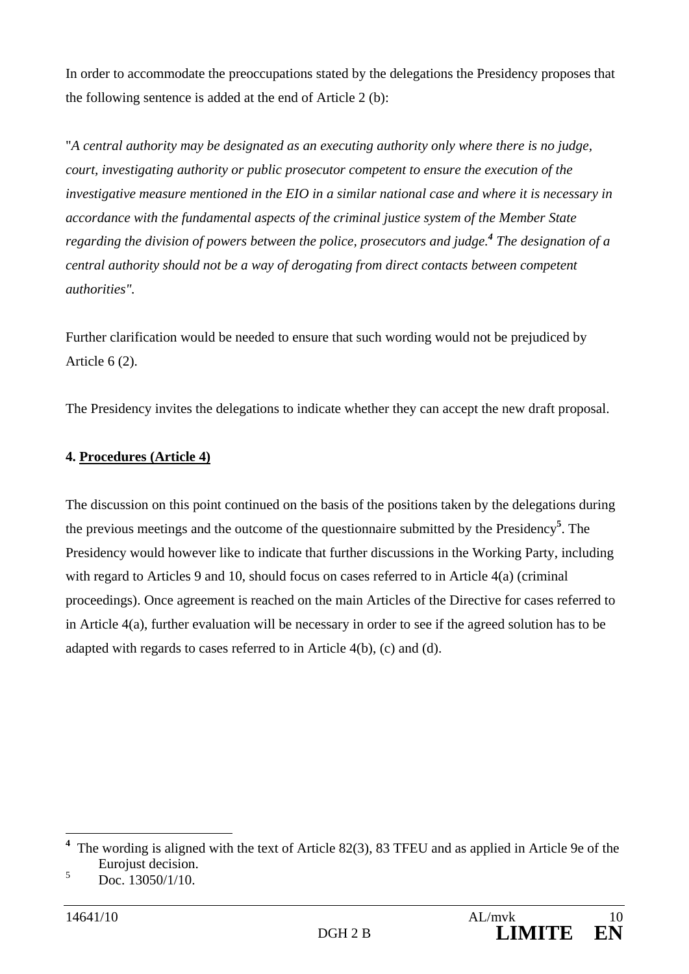In order to accommodate the preoccupations stated by the delegations the Presidency proposes that the following sentence is added at the end of Article 2 (b):

"*A central authority may be designated as an executing authority only where there is no judge, court, investigating authority or public prosecutor competent to ensure the execution of the investigative measure mentioned in the EIO in a similar national case and where it is necessary in accordance with the fundamental aspects of the criminal justice system of the Member State regarding the division of powers between the police, prosecutors and judge.<sup>4</sup> The designation of a central authority should not be a way of derogating from direct contacts between competent authorities".* 

Further clarification would be needed to ensure that such wording would not be prejudiced by Article 6 (2).

The Presidency invites the delegations to indicate whether they can accept the new draft proposal.

### **4. Procedures (Article 4)**

The discussion on this point continued on the basis of the positions taken by the delegations during the previous meetings and the outcome of the questionnaire submitted by the Presidency**<sup>5</sup>** . The Presidency would however like to indicate that further discussions in the Working Party, including with regard to Articles 9 and 10, should focus on cases referred to in Article 4(a) (criminal proceedings). Once agreement is reached on the main Articles of the Directive for cases referred to in Article 4(a), further evaluation will be necessary in order to see if the agreed solution has to be adapted with regards to cases referred to in Article 4(b), (c) and (d).

<sup>&</sup>lt;sup>4</sup> The wording is aligned with the text of Article 82(3), 83 TFEU and as applied in Article 9e of the Eurojust decision.

<sup>5</sup> Doc. 13050/1/10.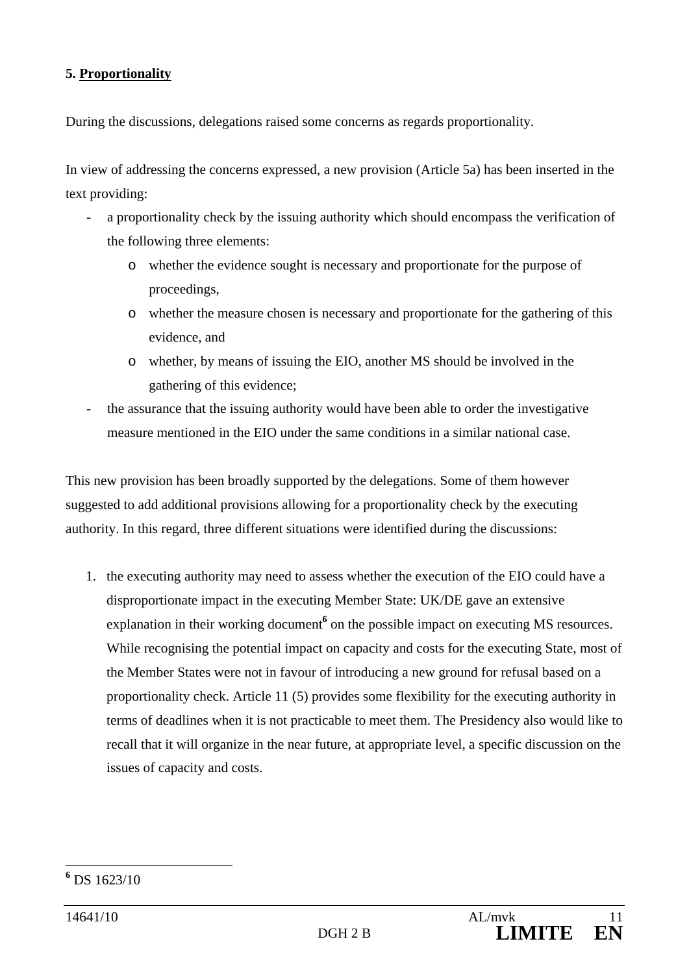#### **5. Proportionality**

During the discussions, delegations raised some concerns as regards proportionality.

In view of addressing the concerns expressed, a new provision (Article 5a) has been inserted in the text providing:

- a proportionality check by the issuing authority which should encompass the verification of the following three elements:
	- o whether the evidence sought is necessary and proportionate for the purpose of proceedings,
	- o whether the measure chosen is necessary and proportionate for the gathering of this evidence, and
	- o whether, by means of issuing the EIO, another MS should be involved in the gathering of this evidence;
- the assurance that the issuing authority would have been able to order the investigative measure mentioned in the EIO under the same conditions in a similar national case.

This new provision has been broadly supported by the delegations. Some of them however suggested to add additional provisions allowing for a proportionality check by the executing authority. In this regard, three different situations were identified during the discussions:

1. the executing authority may need to assess whether the execution of the EIO could have a disproportionate impact in the executing Member State: UK/DE gave an extensive explanation in their working document<sup>6</sup> on the possible impact on executing MS resources. While recognising the potential impact on capacity and costs for the executing State, most of the Member States were not in favour of introducing a new ground for refusal based on a proportionality check. Article 11 (5) provides some flexibility for the executing authority in terms of deadlines when it is not practicable to meet them. The Presidency also would like to recall that it will organize in the near future, at appropriate level, a specific discussion on the issues of capacity and costs.

 $\overline{a}$ 

**<sup>6</sup>** DS 1623/10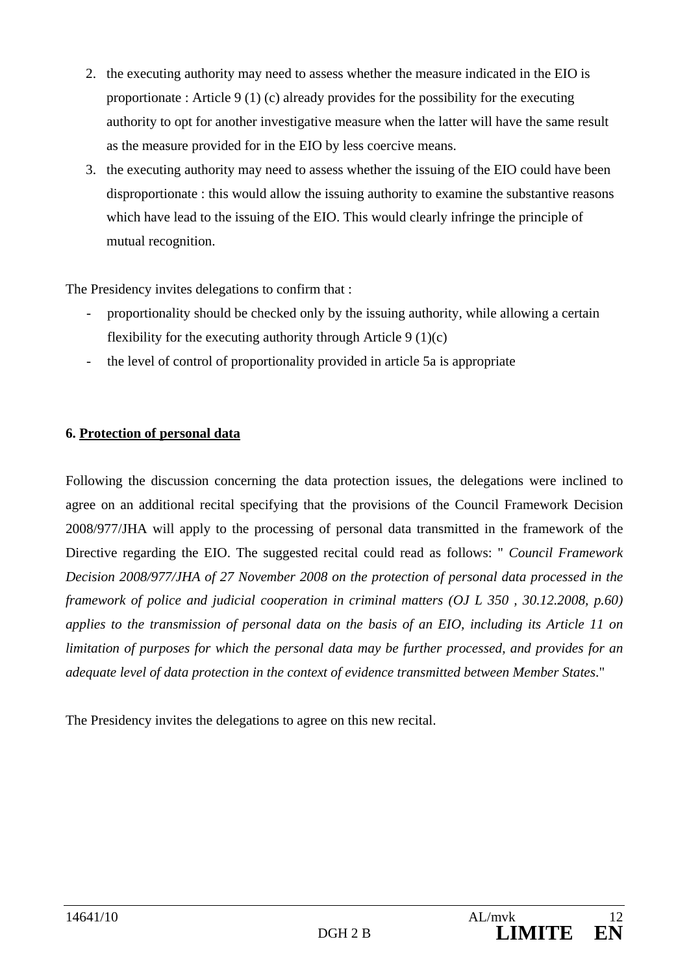- 2. the executing authority may need to assess whether the measure indicated in the EIO is proportionate : Article 9 (1) (c) already provides for the possibility for the executing authority to opt for another investigative measure when the latter will have the same result as the measure provided for in the EIO by less coercive means.
- 3. the executing authority may need to assess whether the issuing of the EIO could have been disproportionate : this would allow the issuing authority to examine the substantive reasons which have lead to the issuing of the EIO. This would clearly infringe the principle of mutual recognition.

The Presidency invites delegations to confirm that :

- proportionality should be checked only by the issuing authority, while allowing a certain flexibility for the executing authority through Article  $9(1)(c)$
- the level of control of proportionality provided in article 5a is appropriate

### **6. Protection of personal data**

Following the discussion concerning the data protection issues, the delegations were inclined to agree on an additional recital specifying that the provisions of the Council Framework Decision 2008/977/JHA will apply to the processing of personal data transmitted in the framework of the Directive regarding the EIO. The suggested recital could read as follows: " *Council Framework Decision 2008/977/JHA of 27 November 2008 on the protection of personal data processed in the framework of police and judicial cooperation in criminal matters (OJ L 350 , 30.12.2008, p.60) applies to the transmission of personal data on the basis of an EIO, including its Article 11 on limitation of purposes for which the personal data may be further processed, and provides for an adequate level of data protection in the context of evidence transmitted between Member States*."

The Presidency invites the delegations to agree on this new recital.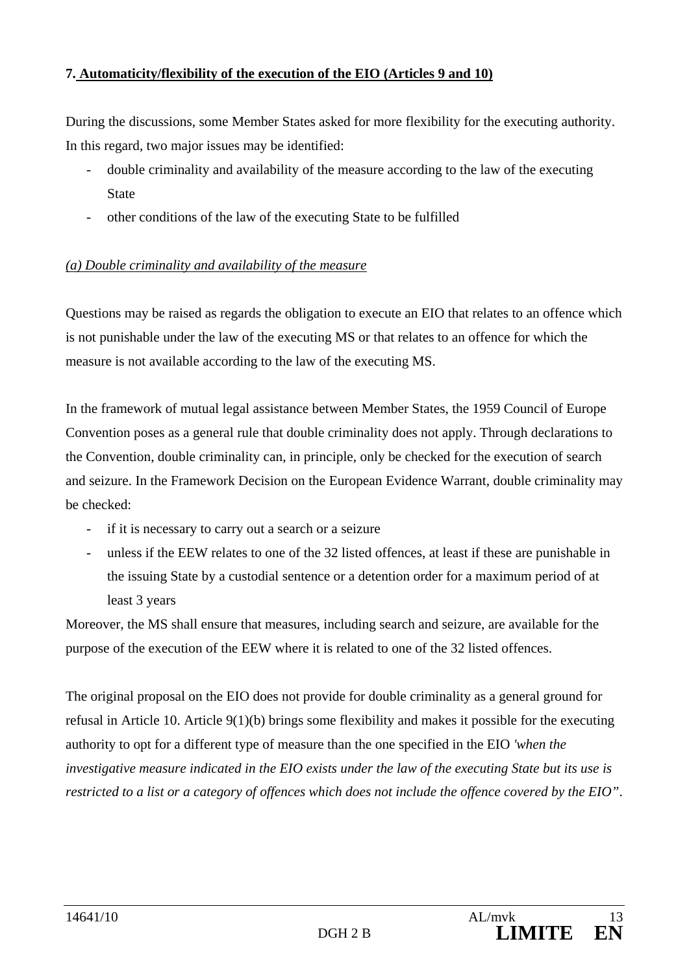### **7. Automaticity/flexibility of the execution of the EIO (Articles 9 and 10)**

During the discussions, some Member States asked for more flexibility for the executing authority. In this regard, two major issues may be identified:

- double criminality and availability of the measure according to the law of the executing **State**
- other conditions of the law of the executing State to be fulfilled

### *(a) Double criminality and availability of the measure*

Questions may be raised as regards the obligation to execute an EIO that relates to an offence which is not punishable under the law of the executing MS or that relates to an offence for which the measure is not available according to the law of the executing MS.

In the framework of mutual legal assistance between Member States, the 1959 Council of Europe Convention poses as a general rule that double criminality does not apply. Through declarations to the Convention, double criminality can, in principle, only be checked for the execution of search and seizure. In the Framework Decision on the European Evidence Warrant, double criminality may be checked:

- if it is necessary to carry out a search or a seizure
- unless if the EEW relates to one of the 32 listed offences, at least if these are punishable in the issuing State by a custodial sentence or a detention order for a maximum period of at least 3 years

Moreover, the MS shall ensure that measures, including search and seizure, are available for the purpose of the execution of the EEW where it is related to one of the 32 listed offences.

The original proposal on the EIO does not provide for double criminality as a general ground for refusal in Article 10. Article 9(1)(b) brings some flexibility and makes it possible for the executing authority to opt for a different type of measure than the one specified in the EIO *'when the investigative measure indicated in the EIO exists under the law of the executing State but its use is restricted to a list or a category of offences which does not include the offence covered by the EIO"*.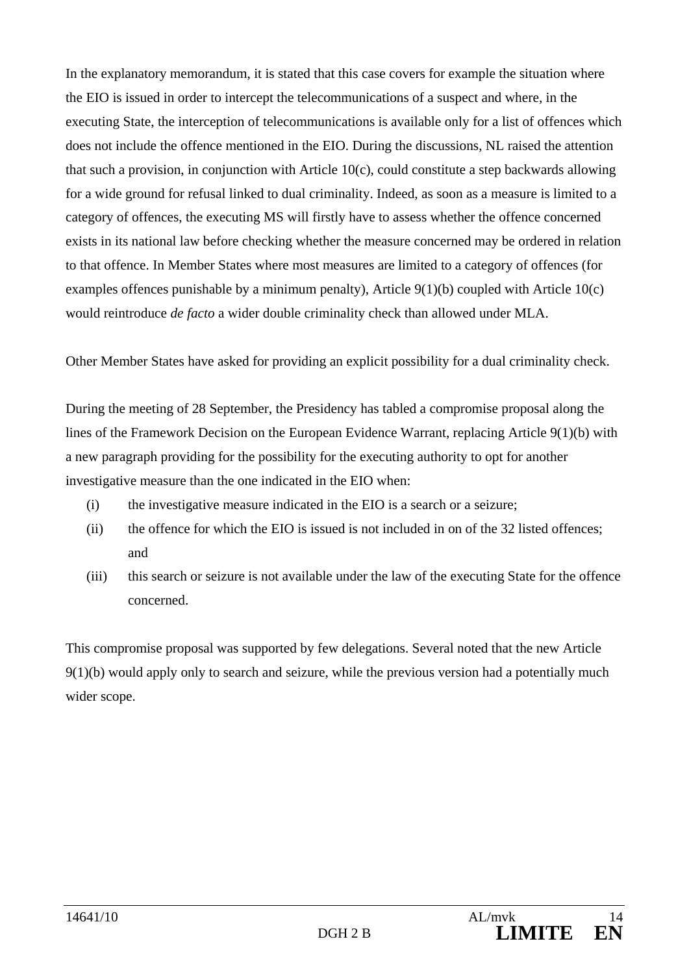In the explanatory memorandum, it is stated that this case covers for example the situation where the EIO is issued in order to intercept the telecommunications of a suspect and where, in the executing State, the interception of telecommunications is available only for a list of offences which does not include the offence mentioned in the EIO. During the discussions, NL raised the attention that such a provision, in conjunction with Article 10(c), could constitute a step backwards allowing for a wide ground for refusal linked to dual criminality. Indeed, as soon as a measure is limited to a category of offences, the executing MS will firstly have to assess whether the offence concerned exists in its national law before checking whether the measure concerned may be ordered in relation to that offence. In Member States where most measures are limited to a category of offences (for examples offences punishable by a minimum penalty), Article  $9(1)(b)$  coupled with Article  $10(c)$ would reintroduce *de facto* a wider double criminality check than allowed under MLA.

Other Member States have asked for providing an explicit possibility for a dual criminality check.

During the meeting of 28 September, the Presidency has tabled a compromise proposal along the lines of the Framework Decision on the European Evidence Warrant, replacing Article 9(1)(b) with a new paragraph providing for the possibility for the executing authority to opt for another investigative measure than the one indicated in the EIO when:

- (i) the investigative measure indicated in the EIO is a search or a seizure;
- (ii) the offence for which the EIO is issued is not included in on of the 32 listed offences; and
- (iii) this search or seizure is not available under the law of the executing State for the offence concerned.

This compromise proposal was supported by few delegations. Several noted that the new Article 9(1)(b) would apply only to search and seizure, while the previous version had a potentially much wider scope.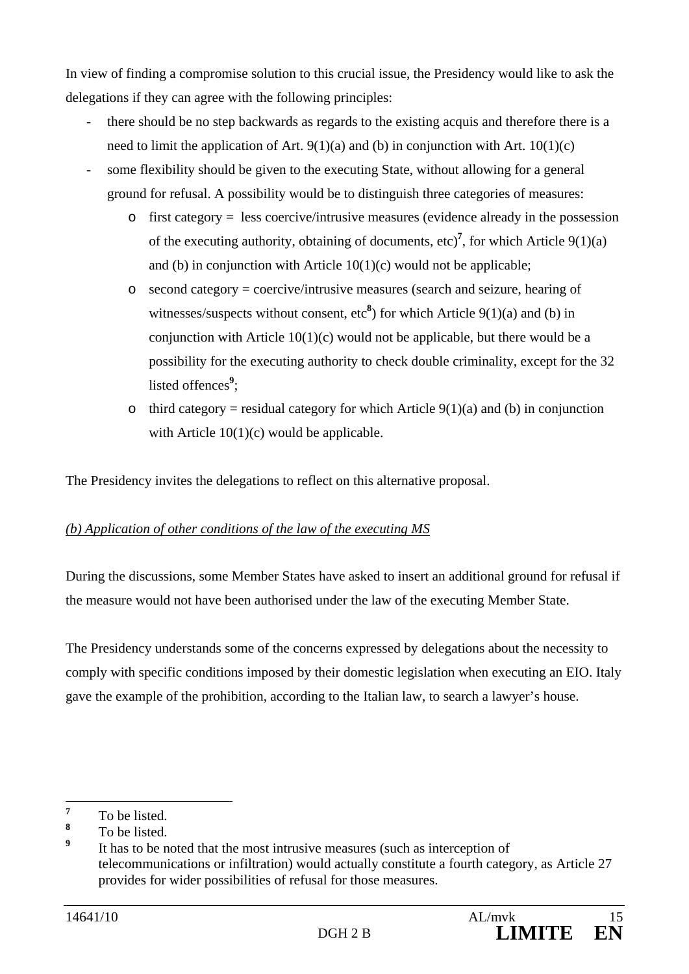In view of finding a compromise solution to this crucial issue, the Presidency would like to ask the delegations if they can agree with the following principles:

- there should be no step backwards as regards to the existing acquis and therefore there is a need to limit the application of Art.  $9(1)(a)$  and (b) in conjunction with Art.  $10(1)(c)$
- some flexibility should be given to the executing State, without allowing for a general ground for refusal. A possibility would be to distinguish three categories of measures:
	- o first category = less coercive/intrusive measures (evidence already in the possession of the executing authority, obtaining of documents,  $\text{etc.}$ <sup>7</sup>, for which Article 9(1)(a) and (b) in conjunction with Article 10(1)(c) would not be applicable;
	- $\circ$  second category = coercive/intrusive measures (search and seizure, hearing of witnesses/suspects without consent,  $\text{etc}^8$ ) for which Article 9(1)(a) and (b) in conjunction with Article  $10(1)(c)$  would not be applicable, but there would be a possibility for the executing authority to check double criminality, except for the 32 listed offences<sup>9</sup>;
	- o third category = residual category for which Article  $9(1)(a)$  and (b) in conjunction with Article  $10(1)(c)$  would be applicable.

The Presidency invites the delegations to reflect on this alternative proposal.

### *(b) Application of other conditions of the law of the executing MS*

During the discussions, some Member States have asked to insert an additional ground for refusal if the measure would not have been authorised under the law of the executing Member State.

The Presidency understands some of the concerns expressed by delegations about the necessity to comply with specific conditions imposed by their domestic legislation when executing an EIO. Italy gave the example of the prohibition, according to the Italian law, to search a lawyer's house.

 **7** To be listed.

**<sup>8</sup>** To be listed.

**<sup>9</sup>** It has to be noted that the most intrusive measures (such as interception of telecommunications or infiltration) would actually constitute a fourth category, as Article 27 provides for wider possibilities of refusal for those measures.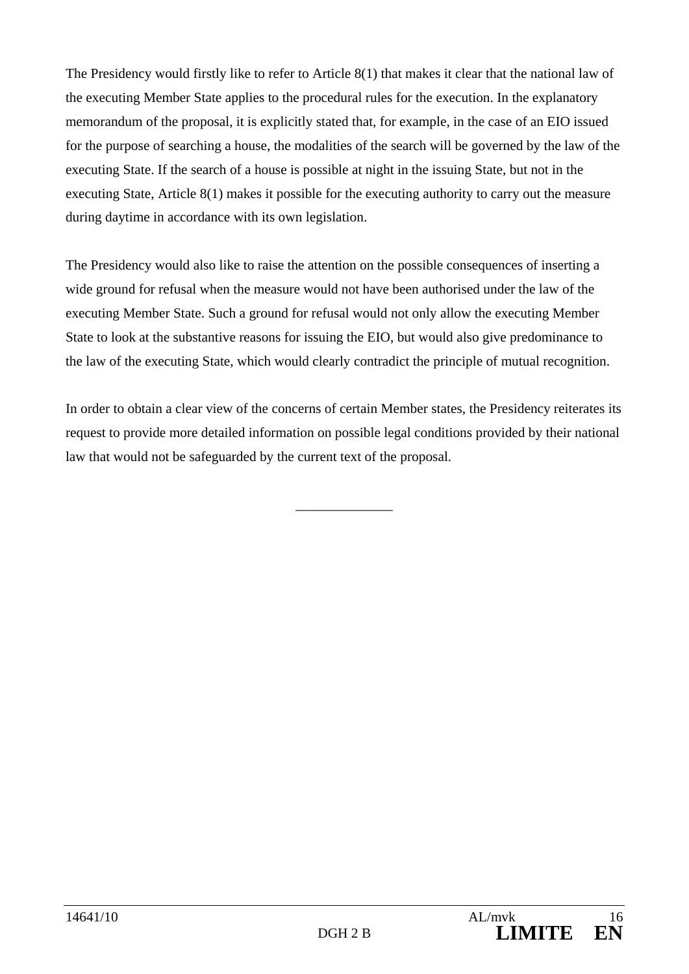The Presidency would firstly like to refer to Article 8(1) that makes it clear that the national law of the executing Member State applies to the procedural rules for the execution. In the explanatory memorandum of the proposal, it is explicitly stated that, for example, in the case of an EIO issued for the purpose of searching a house, the modalities of the search will be governed by the law of the executing State. If the search of a house is possible at night in the issuing State, but not in the executing State, Article 8(1) makes it possible for the executing authority to carry out the measure during daytime in accordance with its own legislation.

The Presidency would also like to raise the attention on the possible consequences of inserting a wide ground for refusal when the measure would not have been authorised under the law of the executing Member State. Such a ground for refusal would not only allow the executing Member State to look at the substantive reasons for issuing the EIO, but would also give predominance to the law of the executing State, which would clearly contradict the principle of mutual recognition.

In order to obtain a clear view of the concerns of certain Member states, the Presidency reiterates its request to provide more detailed information on possible legal conditions provided by their national law that would not be safeguarded by the current text of the proposal.

\_\_\_\_\_\_\_\_\_\_\_\_\_\_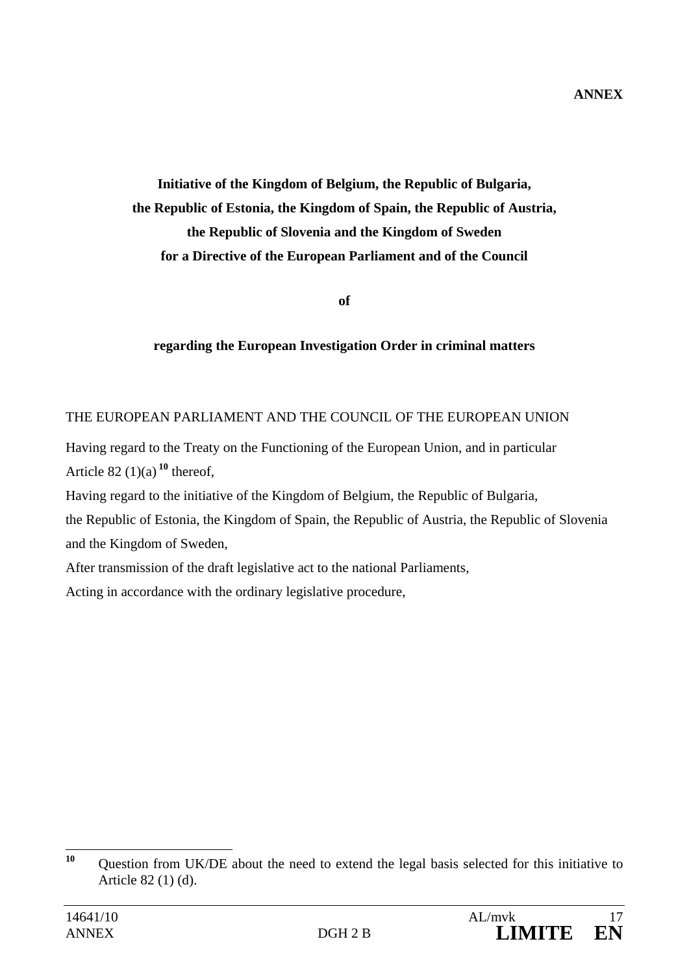**Initiative of the Kingdom of Belgium, the Republic of Bulgaria, the Republic of Estonia, the Kingdom of Spain, the Republic of Austria, the Republic of Slovenia and the Kingdom of Sweden for a Directive of the European Parliament and of the Council** 

**of** 

### **regarding the European Investigation Order in criminal matters**

### THE EUROPEAN PARLIAMENT AND THE COUNCIL OF THE EUROPEAN UNION

Having regard to the Treaty on the Functioning of the European Union, and in particular Article 82 $(1)(a)$ <sup>10</sup> thereof,

Having regard to the initiative of the Kingdom of Belgium, the Republic of Bulgaria, the Republic of Estonia, the Kingdom of Spain, the Republic of Austria, the Republic of Slovenia and the Kingdom of Sweden,

After transmission of the draft legislative act to the national Parliaments,

Acting in accordance with the ordinary legislative procedure,

 $10$ **<sup>10</sup>** Question from UK/DE about the need to extend the legal basis selected for this initiative to Article 82 (1) (d).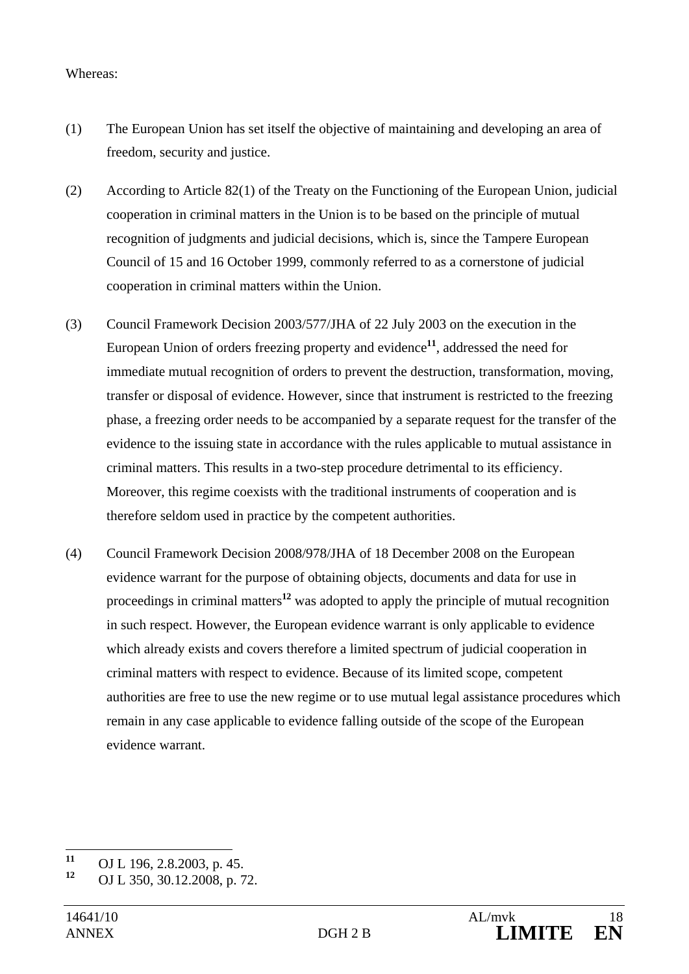#### Whereas:

- (1) The European Union has set itself the objective of maintaining and developing an area of freedom, security and justice.
- (2) According to Article 82(1) of the Treaty on the Functioning of the European Union, judicial cooperation in criminal matters in the Union is to be based on the principle of mutual recognition of judgments and judicial decisions, which is, since the Tampere European Council of 15 and 16 October 1999, commonly referred to as a cornerstone of judicial cooperation in criminal matters within the Union.
- (3) Council Framework Decision 2003/577/JHA of 22 July 2003 on the execution in the European Union of orders freezing property and evidence**<sup>11</sup>**, addressed the need for immediate mutual recognition of orders to prevent the destruction, transformation, moving, transfer or disposal of evidence. However, since that instrument is restricted to the freezing phase, a freezing order needs to be accompanied by a separate request for the transfer of the evidence to the issuing state in accordance with the rules applicable to mutual assistance in criminal matters. This results in a two-step procedure detrimental to its efficiency. Moreover, this regime coexists with the traditional instruments of cooperation and is therefore seldom used in practice by the competent authorities.
- (4) Council Framework Decision 2008/978/JHA of 18 December 2008 on the European evidence warrant for the purpose of obtaining objects, documents and data for use in proceedings in criminal matters**<sup>12</sup>** was adopted to apply the principle of mutual recognition in such respect. However, the European evidence warrant is only applicable to evidence which already exists and covers therefore a limited spectrum of judicial cooperation in criminal matters with respect to evidence. Because of its limited scope, competent authorities are free to use the new regime or to use mutual legal assistance procedures which remain in any case applicable to evidence falling outside of the scope of the European evidence warrant.

 $11$ <sup>11</sup> OJ L 196, 2.8.2003, p. 45.<br><sup>12</sup> OJ L 250, 20, 12, 2009.

**<sup>12</sup>** OJ L 350, 30.12.2008, p. 72.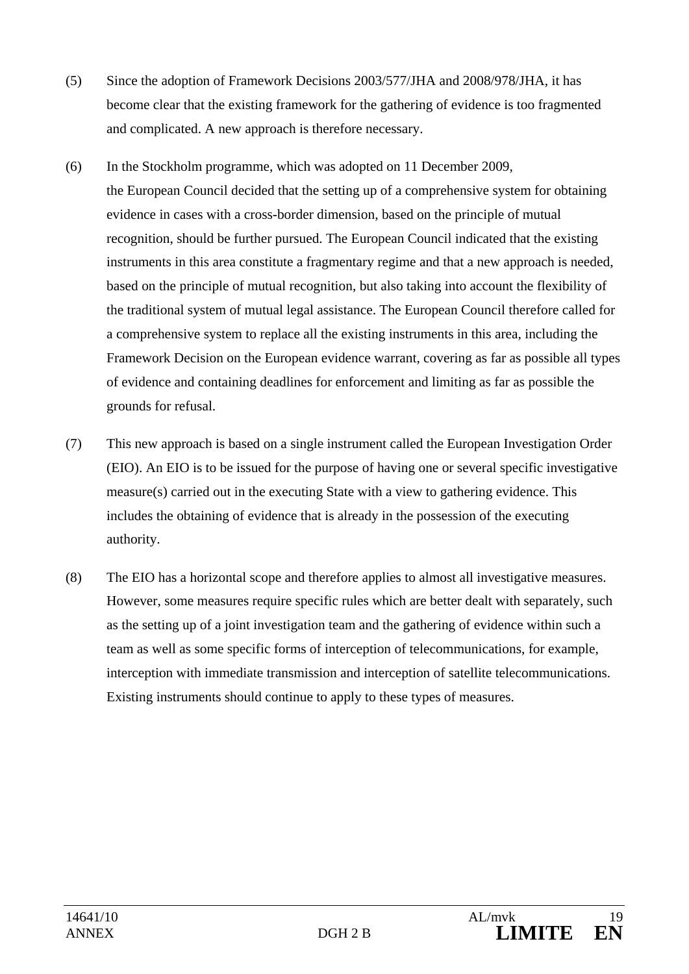- (5) Since the adoption of Framework Decisions 2003/577/JHA and 2008/978/JHA, it has become clear that the existing framework for the gathering of evidence is too fragmented and complicated. A new approach is therefore necessary.
- (6) In the Stockholm programme, which was adopted on 11 December 2009, the European Council decided that the setting up of a comprehensive system for obtaining evidence in cases with a cross-border dimension, based on the principle of mutual recognition, should be further pursued. The European Council indicated that the existing instruments in this area constitute a fragmentary regime and that a new approach is needed, based on the principle of mutual recognition, but also taking into account the flexibility of the traditional system of mutual legal assistance. The European Council therefore called for a comprehensive system to replace all the existing instruments in this area, including the Framework Decision on the European evidence warrant, covering as far as possible all types of evidence and containing deadlines for enforcement and limiting as far as possible the grounds for refusal.
- (7) This new approach is based on a single instrument called the European Investigation Order (EIO). An EIO is to be issued for the purpose of having one or several specific investigative measure(s) carried out in the executing State with a view to gathering evidence. This includes the obtaining of evidence that is already in the possession of the executing authority.
- (8) The EIO has a horizontal scope and therefore applies to almost all investigative measures. However, some measures require specific rules which are better dealt with separately, such as the setting up of a joint investigation team and the gathering of evidence within such a team as well as some specific forms of interception of telecommunications, for example, interception with immediate transmission and interception of satellite telecommunications. Existing instruments should continue to apply to these types of measures.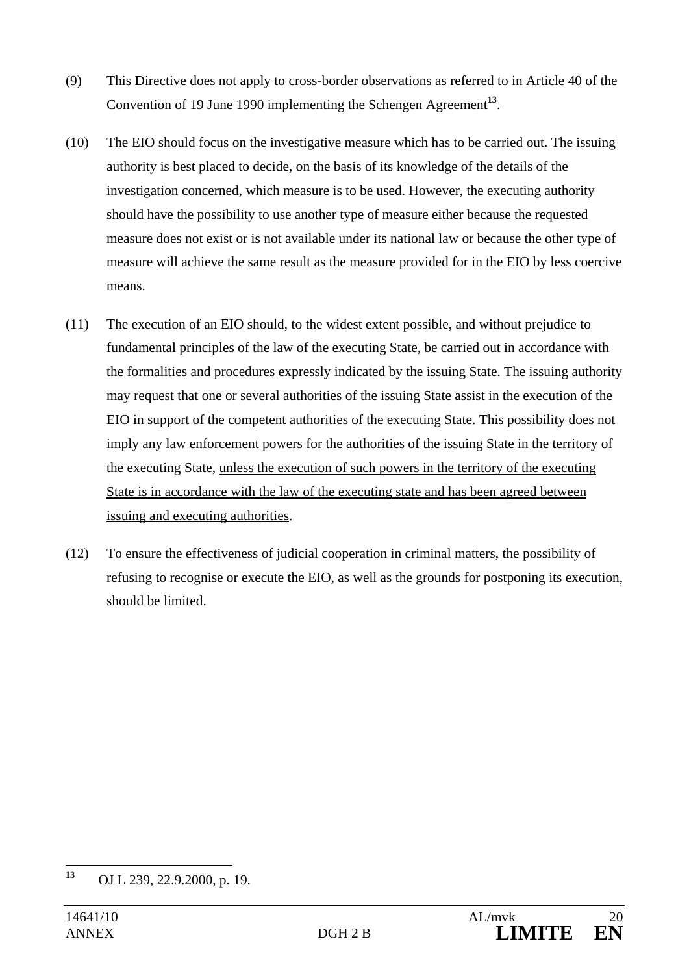- (9) This Directive does not apply to cross-border observations as referred to in Article 40 of the Convention of 19 June 1990 implementing the Schengen Agreement**<sup>13</sup>**.
- (10) The EIO should focus on the investigative measure which has to be carried out. The issuing authority is best placed to decide, on the basis of its knowledge of the details of the investigation concerned, which measure is to be used. However, the executing authority should have the possibility to use another type of measure either because the requested measure does not exist or is not available under its national law or because the other type of measure will achieve the same result as the measure provided for in the EIO by less coercive means.
- (11) The execution of an EIO should, to the widest extent possible, and without prejudice to fundamental principles of the law of the executing State, be carried out in accordance with the formalities and procedures expressly indicated by the issuing State. The issuing authority may request that one or several authorities of the issuing State assist in the execution of the EIO in support of the competent authorities of the executing State. This possibility does not imply any law enforcement powers for the authorities of the issuing State in the territory of the executing State, unless the execution of such powers in the territory of the executing State is in accordance with the law of the executing state and has been agreed between issuing and executing authorities.
- (12) To ensure the effectiveness of judicial cooperation in criminal matters, the possibility of refusing to recognise or execute the EIO, as well as the grounds for postponing its execution, should be limited.

<sup>13</sup> **<sup>13</sup>** OJ L 239, 22.9.2000, p. 19.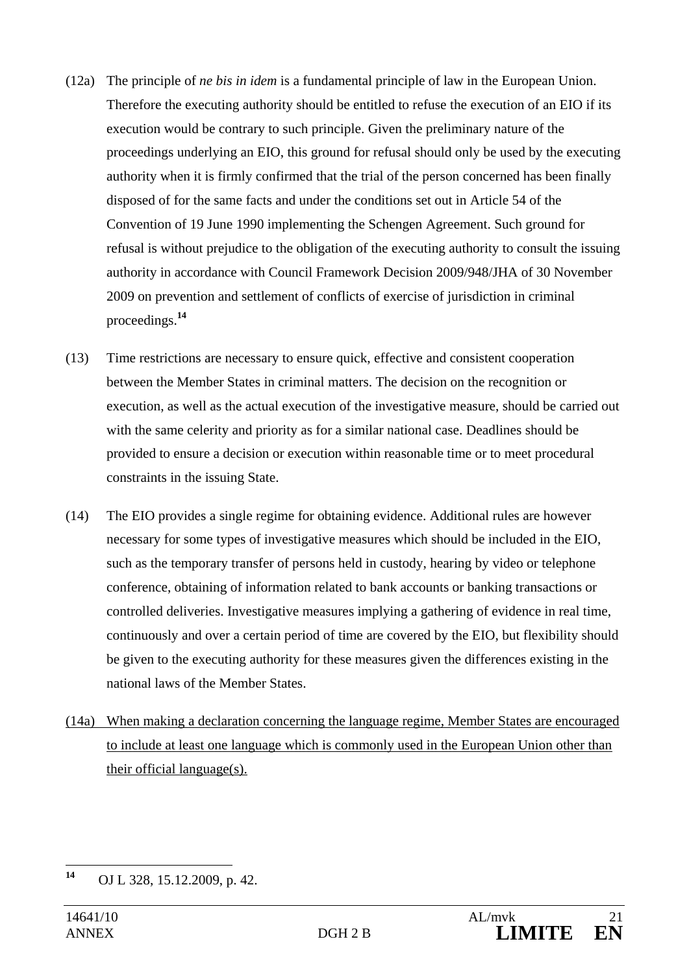- (12a) The principle of *ne bis in idem* is a fundamental principle of law in the European Union. Therefore the executing authority should be entitled to refuse the execution of an EIO if its execution would be contrary to such principle. Given the preliminary nature of the proceedings underlying an EIO, this ground for refusal should only be used by the executing authority when it is firmly confirmed that the trial of the person concerned has been finally disposed of for the same facts and under the conditions set out in Article 54 of the Convention of 19 June 1990 implementing the Schengen Agreement. Such ground for refusal is without prejudice to the obligation of the executing authority to consult the issuing authority in accordance with Council Framework Decision 2009/948/JHA of 30 November 2009 on prevention and settlement of conflicts of exercise of jurisdiction in criminal proceedings.**<sup>14</sup>**
- (13) Time restrictions are necessary to ensure quick, effective and consistent cooperation between the Member States in criminal matters. The decision on the recognition or execution, as well as the actual execution of the investigative measure, should be carried out with the same celerity and priority as for a similar national case. Deadlines should be provided to ensure a decision or execution within reasonable time or to meet procedural constraints in the issuing State.
- (14) The EIO provides a single regime for obtaining evidence. Additional rules are however necessary for some types of investigative measures which should be included in the EIO, such as the temporary transfer of persons held in custody, hearing by video or telephone conference, obtaining of information related to bank accounts or banking transactions or controlled deliveries. Investigative measures implying a gathering of evidence in real time, continuously and over a certain period of time are covered by the EIO, but flexibility should be given to the executing authority for these measures given the differences existing in the national laws of the Member States.
- (14a) When making a declaration concerning the language regime, Member States are encouraged to include at least one language which is commonly used in the European Union other than their official language(s).

<sup>14</sup> **<sup>14</sup>** OJ L 328, 15.12.2009, p. 42.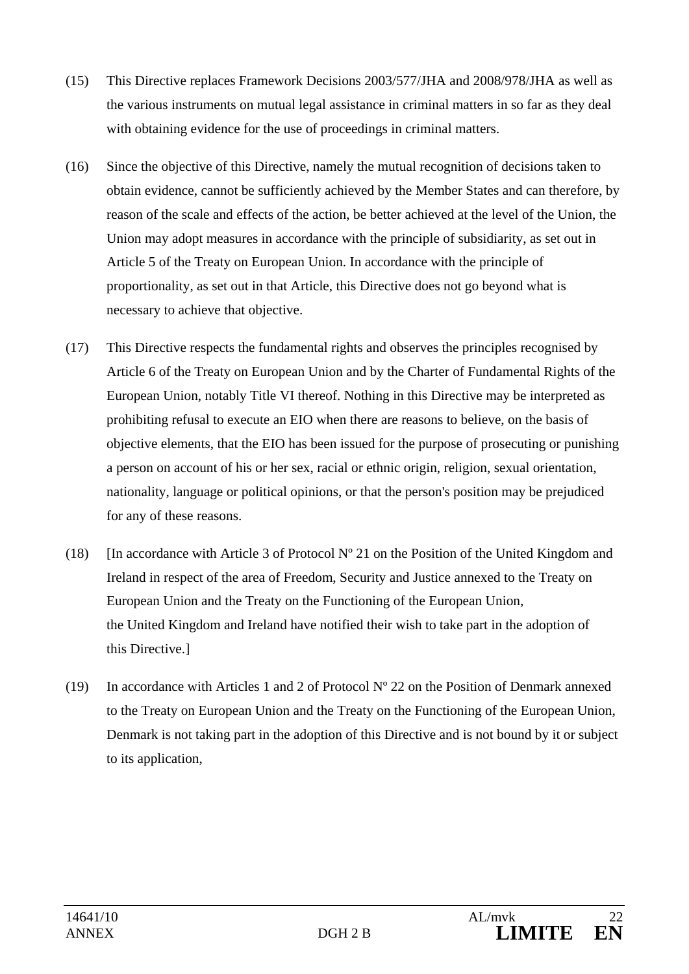- (15) This Directive replaces Framework Decisions 2003/577/JHA and 2008/978/JHA as well as the various instruments on mutual legal assistance in criminal matters in so far as they deal with obtaining evidence for the use of proceedings in criminal matters.
- (16) Since the objective of this Directive, namely the mutual recognition of decisions taken to obtain evidence, cannot be sufficiently achieved by the Member States and can therefore, by reason of the scale and effects of the action, be better achieved at the level of the Union, the Union may adopt measures in accordance with the principle of subsidiarity, as set out in Article 5 of the Treaty on European Union. In accordance with the principle of proportionality, as set out in that Article, this Directive does not go beyond what is necessary to achieve that objective.
- (17) This Directive respects the fundamental rights and observes the principles recognised by Article 6 of the Treaty on European Union and by the Charter of Fundamental Rights of the European Union, notably Title VI thereof. Nothing in this Directive may be interpreted as prohibiting refusal to execute an EIO when there are reasons to believe, on the basis of objective elements, that the EIO has been issued for the purpose of prosecuting or punishing a person on account of his or her sex, racial or ethnic origin, religion, sexual orientation, nationality, language or political opinions, or that the person's position may be prejudiced for any of these reasons.
- (18) [In accordance with Article 3 of Protocol  $N^{\circ}$  21 on the Position of the United Kingdom and Ireland in respect of the area of Freedom, Security and Justice annexed to the Treaty on European Union and the Treaty on the Functioning of the European Union, the United Kingdom and Ireland have notified their wish to take part in the adoption of this Directive.]
- (19) In accordance with Articles 1 and 2 of Protocol Nº 22 on the Position of Denmark annexed to the Treaty on European Union and the Treaty on the Functioning of the European Union, Denmark is not taking part in the adoption of this Directive and is not bound by it or subject to its application,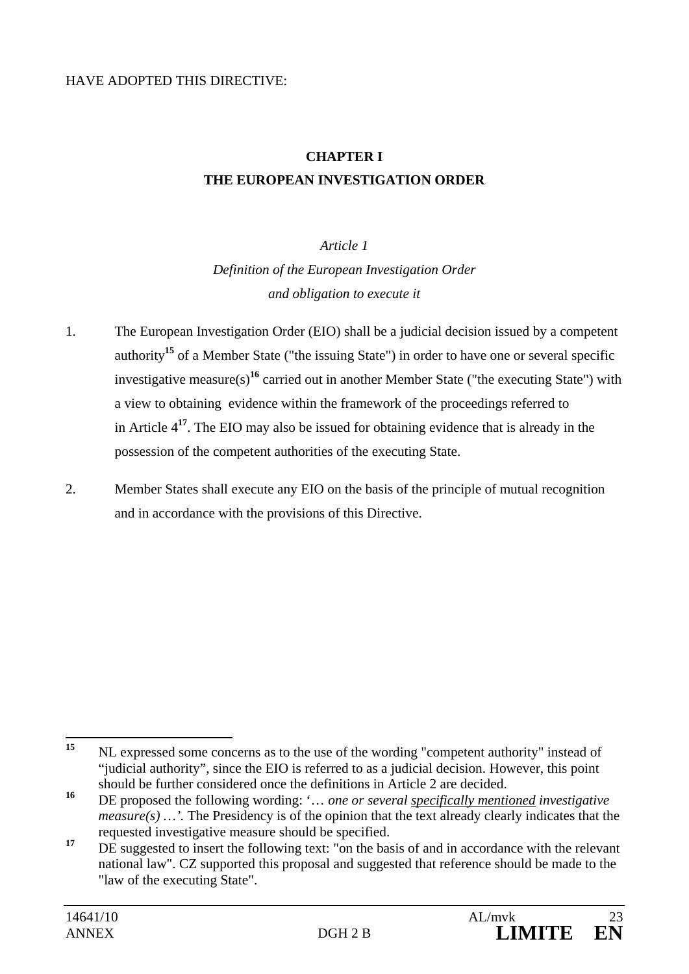#### HAVE ADOPTED THIS DIRECTIVE:

# **CHAPTER I THE EUROPEAN INVESTIGATION ORDER**

### *Article 1*

*Definition of the European Investigation Order and obligation to execute it* 

- 1. The European Investigation Order (EIO) shall be a judicial decision issued by a competent authority**<sup>15</sup>** of a Member State ("the issuing State") in order to have one or several specific investigative measure(s)**<sup>16</sup>** carried out in another Member State ("the executing State") with a view to obtaining evidence within the framework of the proceedings referred to in Article 4**<sup>17</sup>**. The EIO may also be issued for obtaining evidence that is already in the possession of the competent authorities of the executing State.
- 2. Member States shall execute any EIO on the basis of the principle of mutual recognition and in accordance with the provisions of this Directive.

<sup>15</sup> **<sup>15</sup>** NL expressed some concerns as to the use of the wording "competent authority" instead of "judicial authority", since the EIO is referred to as a judicial decision. However, this point should be further considered once the definitions in Article 2 are decided.

**<sup>16</sup>** DE proposed the following wording: '… *one or several specifically mentioned investigative measure(s)* ...'. The Presidency is of the opinion that the text already clearly indicates that the requested investigative measure should be specified.

<sup>&</sup>lt;sup>17</sup> DE suggested to insert the following text: "on the basis of and in accordance with the relevant national law". CZ supported this proposal and suggested that reference should be made to the "law of the executing State".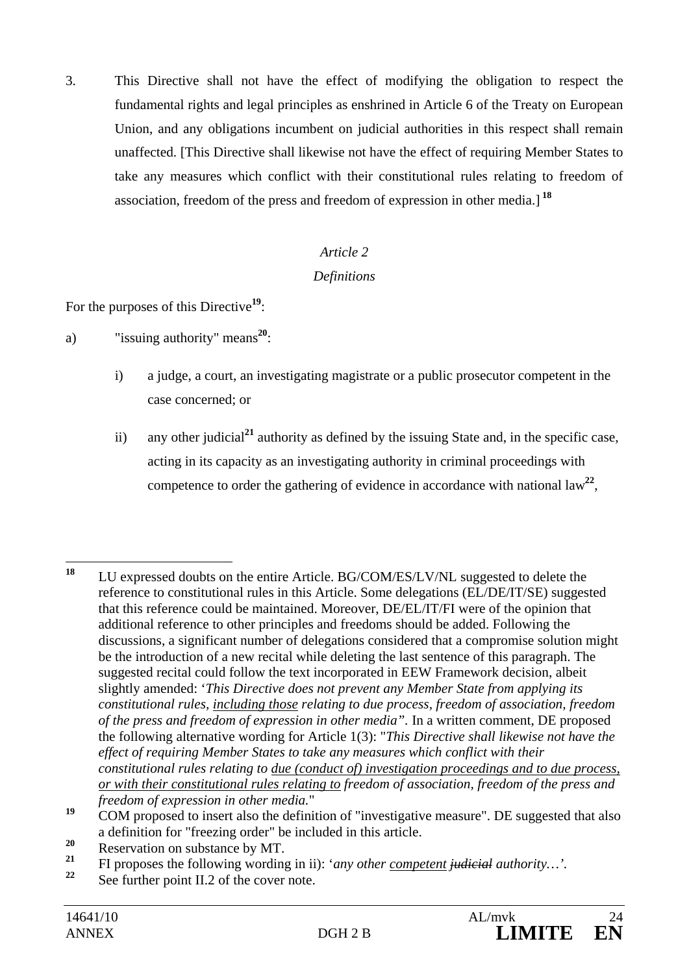3. This Directive shall not have the effect of modifying the obligation to respect the fundamental rights and legal principles as enshrined in Article 6 of the Treaty on European Union, and any obligations incumbent on judicial authorities in this respect shall remain unaffected. [This Directive shall likewise not have the effect of requiring Member States to take any measures which conflict with their constitutional rules relating to freedom of association, freedom of the press and freedom of expression in other media.]**<sup>18</sup>**

### *Article 2*

### *Definitions*

For the purposes of this Directive<sup>19</sup>:

a) "issuing authority" means**<sup>20</sup>**:

- i) a judge, a court, an investigating magistrate or a public prosecutor competent in the case concerned; or
- ii) any other judicial**<sup>21</sup>** authority as defined by the issuing State and, in the specific case, acting in its capacity as an investigating authority in criminal proceedings with competence to order the gathering of evidence in accordance with national  $\text{law}^{22}$ ,

<sup>18</sup> **<sup>18</sup>** LU expressed doubts on the entire Article. BG/COM/ES/LV/NL suggested to delete the reference to constitutional rules in this Article. Some delegations (EL/DE/IT/SE) suggested that this reference could be maintained. Moreover, DE/EL/IT/FI were of the opinion that additional reference to other principles and freedoms should be added. Following the discussions, a significant number of delegations considered that a compromise solution might be the introduction of a new recital while deleting the last sentence of this paragraph. The suggested recital could follow the text incorporated in EEW Framework decision, albeit slightly amended: '*This Directive does not prevent any Member State from applying its constitutional rules, including those relating to due process, freedom of association, freedom of the press and freedom of expression in other media".* In a written comment, DE proposed the following alternative wording for Article 1(3): "*This Directive shall likewise not have the effect of requiring Member States to take any measures which conflict with their constitutional rules relating to due (conduct of) investigation proceedings and to due process, or with their constitutional rules relating to freedom of association, freedom of the press and freedom of expression in other media.*"

<sup>&</sup>lt;sup>19</sup> COM proposed to insert also the definition of "investigative measure". DE suggested that also a definition for "freezing order" be included in this article.

<sup>&</sup>lt;sup>20</sup> Reservation on substance by MT.

**<sup>21</sup>** FI proposes the following wording in ii): '*any other competent judicial authority…'.* 

See further point II.2 of the cover note.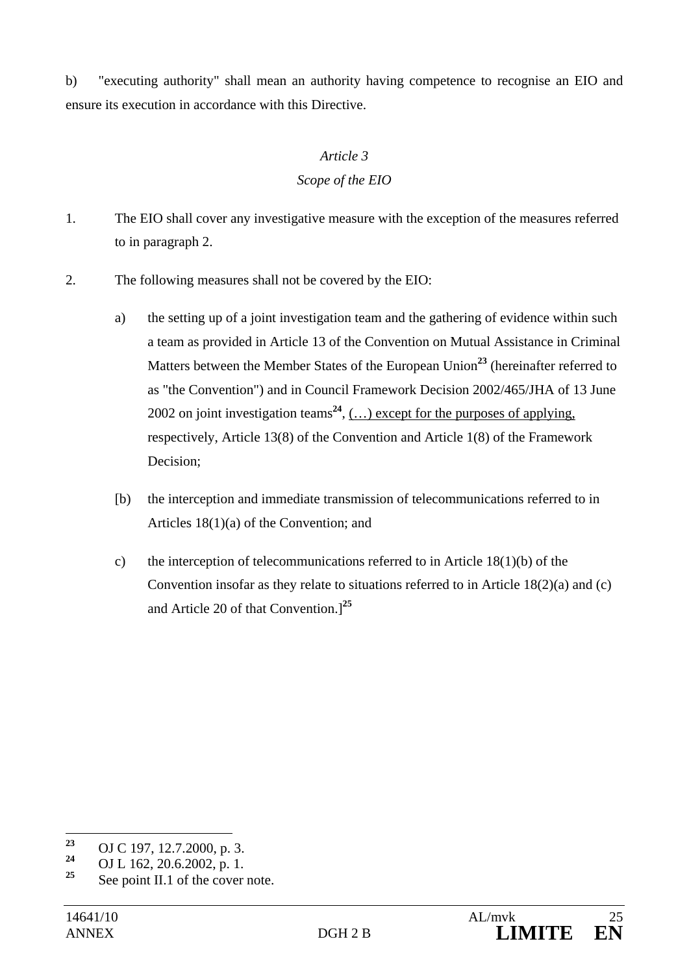b) "executing authority" shall mean an authority having competence to recognise an EIO and ensure its execution in accordance with this Directive.

### *Article 3*

### *Scope of the EIO*

- 1. The EIO shall cover any investigative measure with the exception of the measures referred to in paragraph 2.
- 2. The following measures shall not be covered by the EIO:
	- a) the setting up of a joint investigation team and the gathering of evidence within such a team as provided in Article 13 of the Convention on Mutual Assistance in Criminal Matters between the Member States of the European Union**<sup>23</sup>** (hereinafter referred to as "the Convention") and in Council Framework Decision 2002/465/JHA of 13 June 2002 on joint investigation teams<sup>24</sup>,  $(...)$  except for the purposes of applying, respectively, Article 13(8) of the Convention and Article 1(8) of the Framework Decision;
	- [b) the interception and immediate transmission of telecommunications referred to in Articles 18(1)(a) of the Convention; and
	- c) the interception of telecommunications referred to in Article  $18(1)(b)$  of the Convention insofar as they relate to situations referred to in Article 18(2)(a) and (c) and Article 20 of that Convention.]**<sup>25</sup>**

<sup>23</sup> <sup>23</sup> OJ C 197, 12.7.2000, p. 3.<br><sup>24</sup> OJ J 162, 22, 6,2002

<sup>&</sup>lt;sup>24</sup> OJ L 162, 20.6.2002, p. 1.<br><sup>25</sup> Congint H 1 of the cause

**<sup>25</sup>** See point II.1 of the cover note.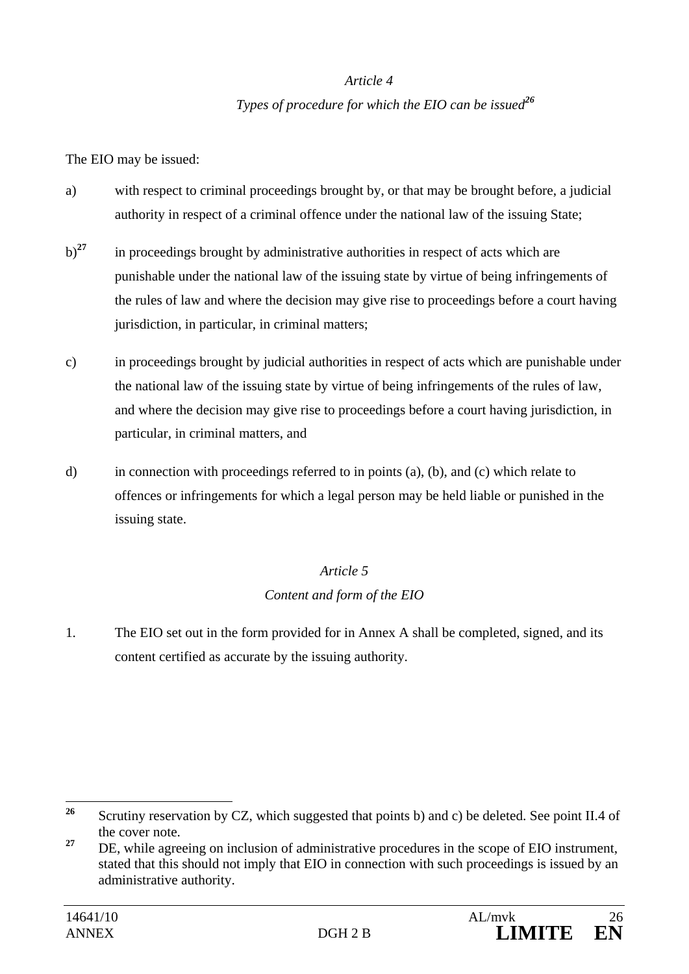### *Article 4*

### *Types of procedure for which the EIO can be issued<sup>26</sup>*

The EIO may be issued:

- a) with respect to criminal proceedings brought by, or that may be brought before, a judicial authority in respect of a criminal offence under the national law of the issuing State;
- b)<sup>27</sup> in proceedings brought by administrative authorities in respect of acts which are punishable under the national law of the issuing state by virtue of being infringements of the rules of law and where the decision may give rise to proceedings before a court having jurisdiction, in particular, in criminal matters;
- c) in proceedings brought by judicial authorities in respect of acts which are punishable under the national law of the issuing state by virtue of being infringements of the rules of law, and where the decision may give rise to proceedings before a court having jurisdiction, in particular, in criminal matters, and
- d) in connection with proceedings referred to in points (a), (b), and (c) which relate to offences or infringements for which a legal person may be held liable or punished in the issuing state.

### *Article 5*

### *Content and form of the EIO*

1. The EIO set out in the form provided for in Annex A shall be completed, signed, and its content certified as accurate by the issuing authority.

 $26$ **<sup>26</sup>** Scrutiny reservation by CZ, which suggested that points b) and c) be deleted. See point II.4 of the cover note.

<sup>&</sup>lt;sup>27</sup> DE, while agreeing on inclusion of administrative procedures in the scope of EIO instrument, stated that this should not imply that EIO in connection with such proceedings is issued by an administrative authority.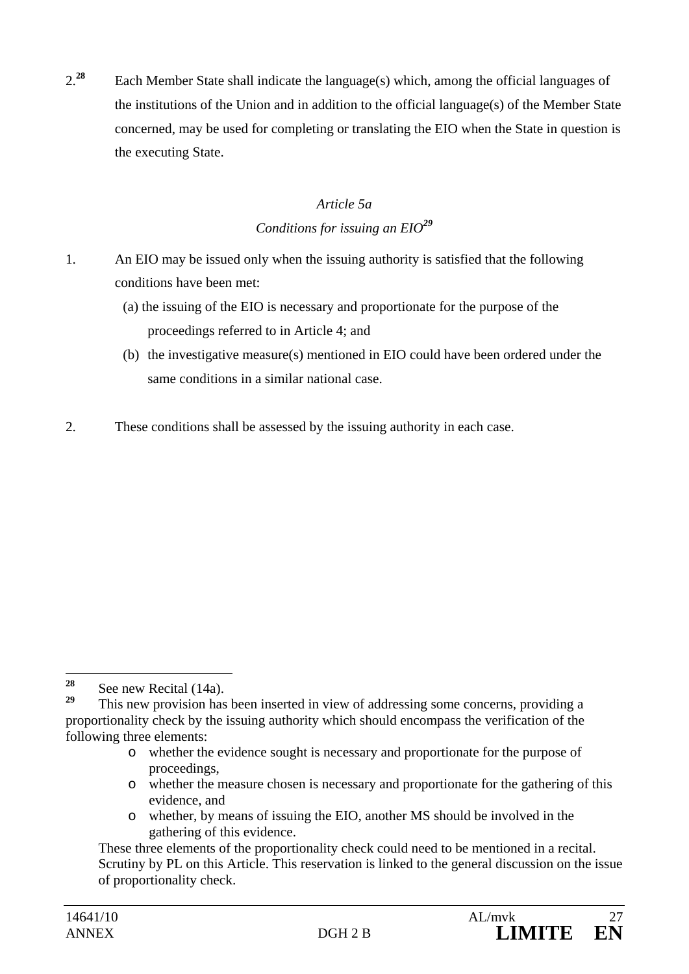2.**<sup>28</sup>** Each Member State shall indicate the language(s) which, among the official languages of the institutions of the Union and in addition to the official language(s) of the Member State concerned, may be used for completing or translating the EIO when the State in question is the executing State.

## *Article 5a Conditions for issuing an EIO<sup>29</sup>*

- 1. An EIO may be issued only when the issuing authority is satisfied that the following conditions have been met:
	- (a) the issuing of the EIO is necessary and proportionate for the purpose of the proceedings referred to in Article 4; and
	- (b) the investigative measure(s) mentioned in EIO could have been ordered under the same conditions in a similar national case.
- 2. These conditions shall be assessed by the issuing authority in each case.

- o whether the evidence sought is necessary and proportionate for the purpose of proceedings,
- o whether the measure chosen is necessary and proportionate for the gathering of this evidence, and
- o whether, by means of issuing the EIO, another MS should be involved in the gathering of this evidence.

<sup>28</sup> <sup>28</sup> See new Recital  $(14a)$ .

**<sup>29</sup>** This new provision has been inserted in view of addressing some concerns, providing a proportionality check by the issuing authority which should encompass the verification of the following three elements:

These three elements of the proportionality check could need to be mentioned in a recital. Scrutiny by PL on this Article. This reservation is linked to the general discussion on the issue of proportionality check.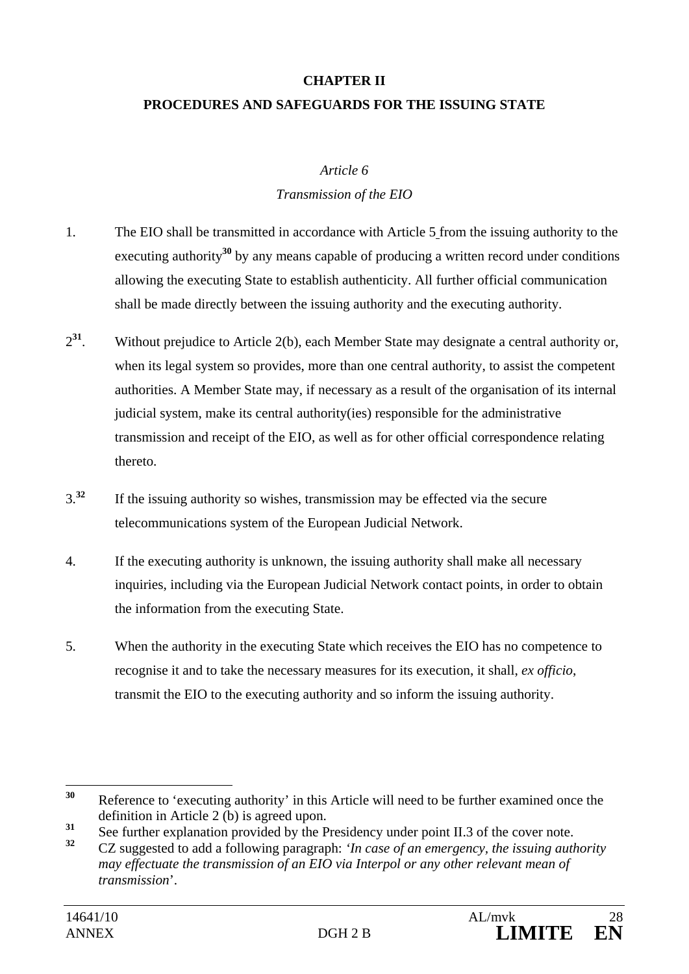# **CHAPTER II PROCEDURES AND SAFEGUARDS FOR THE ISSUING STATE**

#### *Article 6*

### *Transmission of the EIO*

- 1. The EIO shall be transmitted in accordance with Article 5 from the issuing authority to the executing authority<sup>30</sup> by any means capable of producing a written record under conditions allowing the executing State to establish authenticity. All further official communication shall be made directly between the issuing authority and the executing authority.
- 2**<sup>31</sup>**. Without prejudice to Article 2(b), each Member State may designate a central authority or, when its legal system so provides, more than one central authority, to assist the competent authorities. A Member State may, if necessary as a result of the organisation of its internal judicial system, make its central authority(ies) responsible for the administrative transmission and receipt of the EIO, as well as for other official correspondence relating thereto.
- 3.**<sup>32</sup>** If the issuing authority so wishes, transmission may be effected via the secure telecommunications system of the European Judicial Network.
- 4. If the executing authority is unknown, the issuing authority shall make all necessary inquiries, including via the European Judicial Network contact points, in order to obtain the information from the executing State.
- 5. When the authority in the executing State which receives the EIO has no competence to recognise it and to take the necessary measures for its execution, it shall, *ex officio*, transmit the EIO to the executing authority and so inform the issuing authority.

<sup>30</sup> **<sup>30</sup>** Reference to 'executing authority' in this Article will need to be further examined once the definition in Article 2 (b) is agreed upon.

 $\frac{31}{32}$  See further explanation provided by the Presidency under point II.3 of the cover note.

**<sup>32</sup>** CZ suggested to add a following paragraph: *'In case of an emergency, the issuing authority may effectuate the transmission of an EIO via Interpol or any other relevant mean of transmission*'.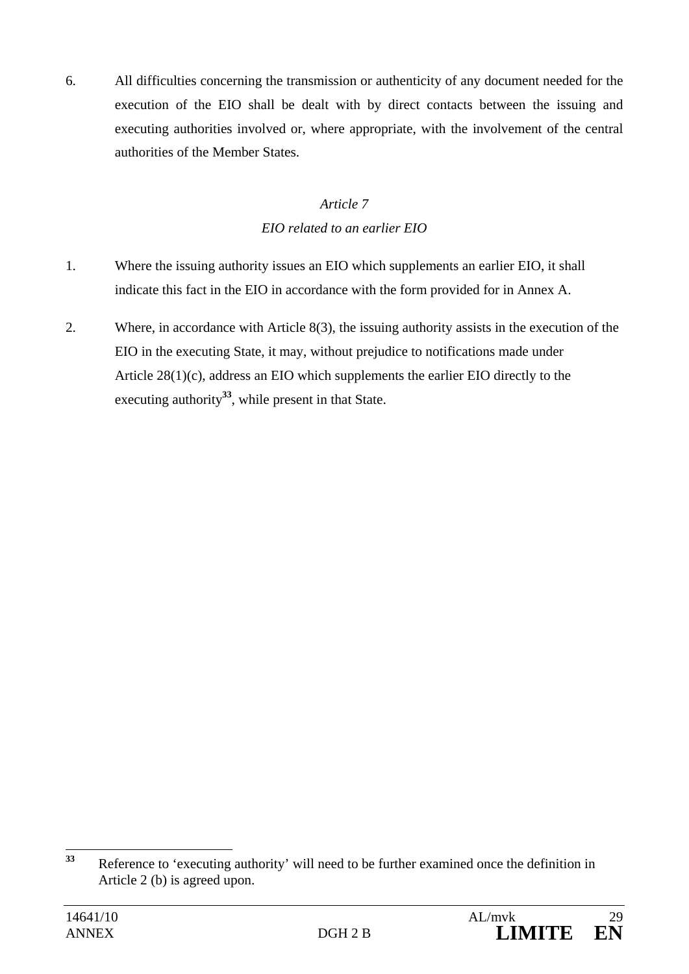6. All difficulties concerning the transmission or authenticity of any document needed for the execution of the EIO shall be dealt with by direct contacts between the issuing and executing authorities involved or, where appropriate, with the involvement of the central authorities of the Member States.

# *Article 7 EIO related to an earlier EIO*

- 1. Where the issuing authority issues an EIO which supplements an earlier EIO, it shall indicate this fact in the EIO in accordance with the form provided for in Annex A.
- 2. Where, in accordance with Article 8(3), the issuing authority assists in the execution of the EIO in the executing State, it may, without prejudice to notifications made under Article 28(1)(c), address an EIO which supplements the earlier EIO directly to the executing authority**<sup>33</sup>**, while present in that State.

 $33$ **<sup>33</sup>** Reference to 'executing authority' will need to be further examined once the definition in Article 2 (b) is agreed upon.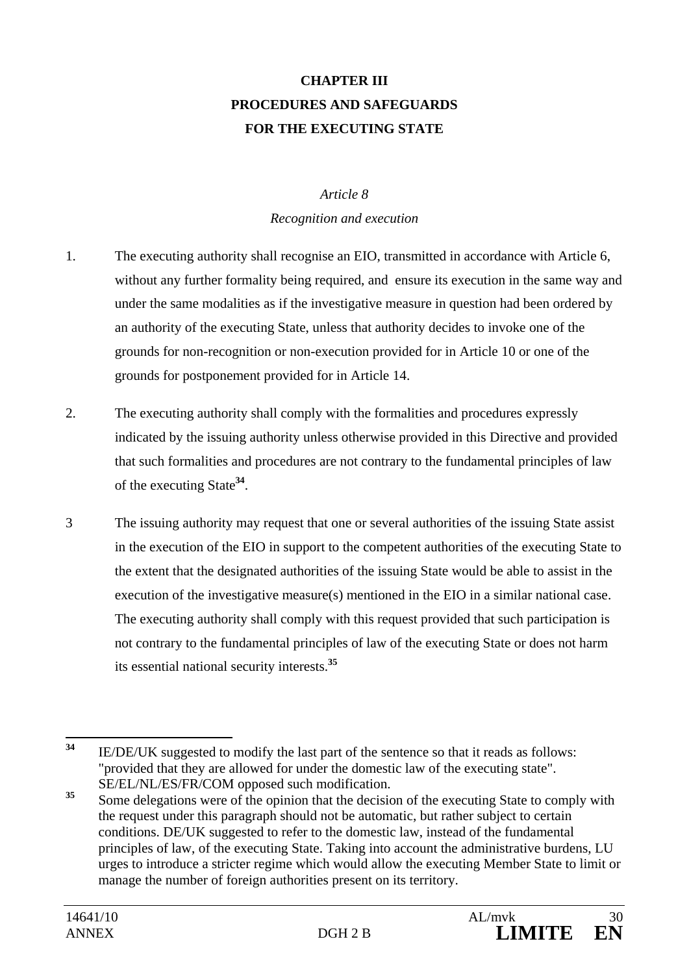# **CHAPTER III PROCEDURES AND SAFEGUARDS FOR THE EXECUTING STATE**

#### *Article 8*

#### *Recognition and execution*

- 1. The executing authority shall recognise an EIO, transmitted in accordance with Article 6, without any further formality being required, and ensure its execution in the same way and under the same modalities as if the investigative measure in question had been ordered by an authority of the executing State, unless that authority decides to invoke one of the grounds for non-recognition or non-execution provided for in Article 10 or one of the grounds for postponement provided for in Article 14.
- 2. The executing authority shall comply with the formalities and procedures expressly indicated by the issuing authority unless otherwise provided in this Directive and provided that such formalities and procedures are not contrary to the fundamental principles of law of the executing State**<sup>34</sup>**.
- 3 The issuing authority may request that one or several authorities of the issuing State assist in the execution of the EIO in support to the competent authorities of the executing State to the extent that the designated authorities of the issuing State would be able to assist in the execution of the investigative measure(s) mentioned in the EIO in a similar national case. The executing authority shall comply with this request provided that such participation is not contrary to the fundamental principles of law of the executing State or does not harm its essential national security interests.**<sup>35</sup>**

<sup>34</sup> **<sup>34</sup>** IE/DE/UK suggested to modify the last part of the sentence so that it reads as follows: "provided that they are allowed for under the domestic law of the executing state". SE/EL/NL/ES/FR/COM opposed such modification.

<sup>&</sup>lt;sup>35</sup> Some delegations were of the opinion that the decision of the executing State to comply with the request under this paragraph should not be automatic, but rather subject to certain conditions. DE/UK suggested to refer to the domestic law, instead of the fundamental principles of law, of the executing State. Taking into account the administrative burdens, LU urges to introduce a stricter regime which would allow the executing Member State to limit or manage the number of foreign authorities present on its territory.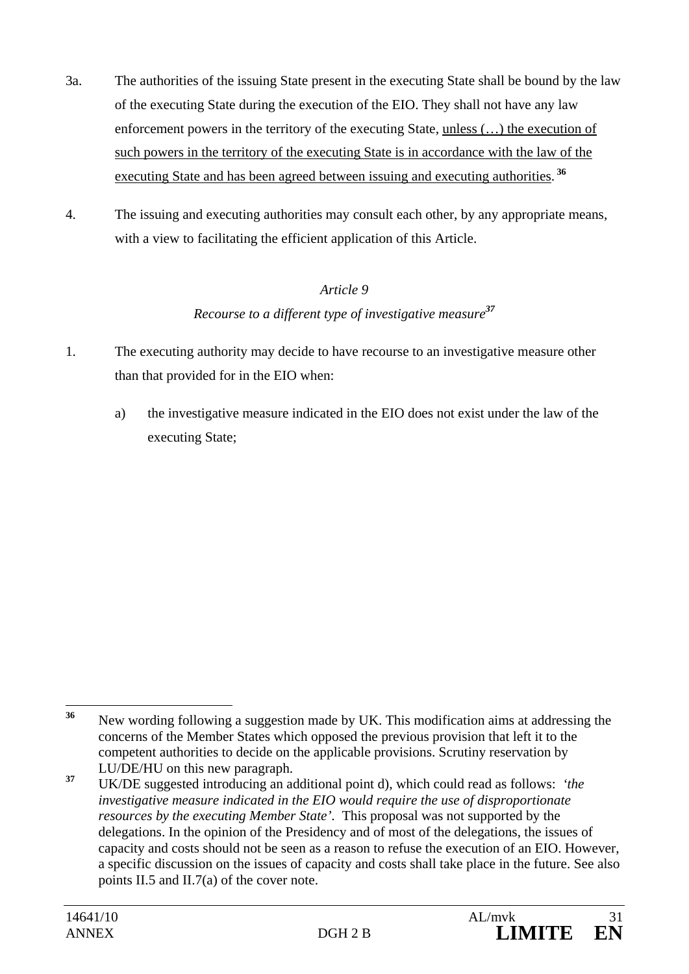- 3a. The authorities of the issuing State present in the executing State shall be bound by the law of the executing State during the execution of the EIO. They shall not have any law enforcement powers in the territory of the executing State, unless  $(...)$  the execution of such powers in the territory of the executing State is in accordance with the law of the executing State and has been agreed between issuing and executing authorities.  **36**
- 4. The issuing and executing authorities may consult each other, by any appropriate means, with a view to facilitating the efficient application of this Article.

## *Article 9*

### *Recourse to a different type of investigative measure<sup>37</sup>*

- 1. The executing authority may decide to have recourse to an investigative measure other than that provided for in the EIO when:
	- a) the investigative measure indicated in the EIO does not exist under the law of the executing State;

 $36$ **<sup>36</sup>** New wording following a suggestion made by UK. This modification aims at addressing the concerns of the Member States which opposed the previous provision that left it to the competent authorities to decide on the applicable provisions. Scrutiny reservation by LU/DE/HU on this new paragraph.

**<sup>37</sup>** UK/DE suggested introducing an additional point d), which could read as follows: *'the investigative measure indicated in the EIO would require the use of disproportionate resources by the executing Member State'.* This proposal was not supported by the delegations. In the opinion of the Presidency and of most of the delegations, the issues of capacity and costs should not be seen as a reason to refuse the execution of an EIO. However, a specific discussion on the issues of capacity and costs shall take place in the future. See also points II.5 and II.7(a) of the cover note.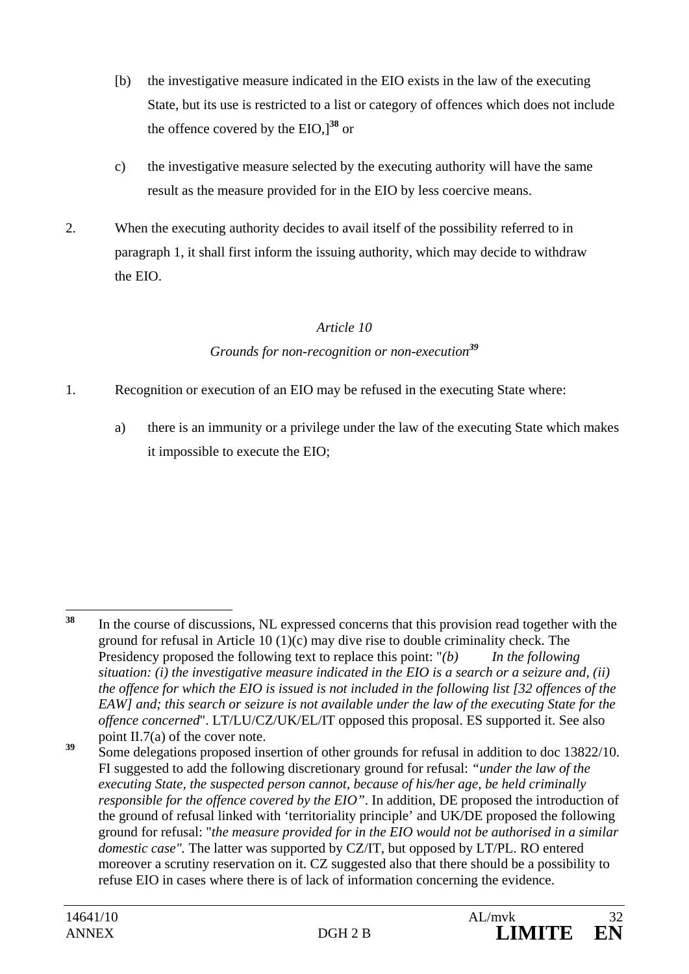- [b) the investigative measure indicated in the EIO exists in the law of the executing State, but its use is restricted to a list or category of offences which does not include the offence covered by the EIO,]**<sup>38</sup>** or
- c) the investigative measure selected by the executing authority will have the same result as the measure provided for in the EIO by less coercive means.
- 2. When the executing authority decides to avail itself of the possibility referred to in paragraph 1, it shall first inform the issuing authority, which may decide to withdraw the EIO.

### *Article 10*

### *Grounds for non-recognition or non-execution<sup>39</sup>*

- 1. Recognition or execution of an EIO may be refused in the executing State where:
	- a) there is an immunity or a privilege under the law of the executing State which makes it impossible to execute the EIO;

<sup>39</sup> Some delegations proposed insertion of other grounds for refusal in addition to doc 13822/10. FI suggested to add the following discretionary ground for refusal: *"under the law of the executing State, the suspected person cannot, because of his/her age, be held criminally responsible for the offence covered by the EIO"*. In addition, DE proposed the introduction of the ground of refusal linked with 'territoriality principle' and UK/DE proposed the following ground for refusal: "*the measure provided for in the EIO would not be authorised in a similar domestic case".* The latter was supported by CZ/IT, but opposed by LT/PL. RO entered moreover a scrutiny reservation on it. CZ suggested also that there should be a possibility to refuse EIO in cases where there is of lack of information concerning the evidence.

<sup>38</sup> **<sup>38</sup>** In the course of discussions, NL expressed concerns that this provision read together with the ground for refusal in Article 10 (1)(c) may dive rise to double criminality check. The Presidency proposed the following text to replace this point: "*(b) In the following situation: (i) the investigative measure indicated in the EIO is a search or a seizure and, (ii) the offence for which the EIO is issued is not included in the following list [32 offences of the EAW] and; this search or seizure is not available under the law of the executing State for the offence concerned*". LT/LU/CZ/UK/EL/IT opposed this proposal. ES supported it. See also point II.7(a) of the cover note.